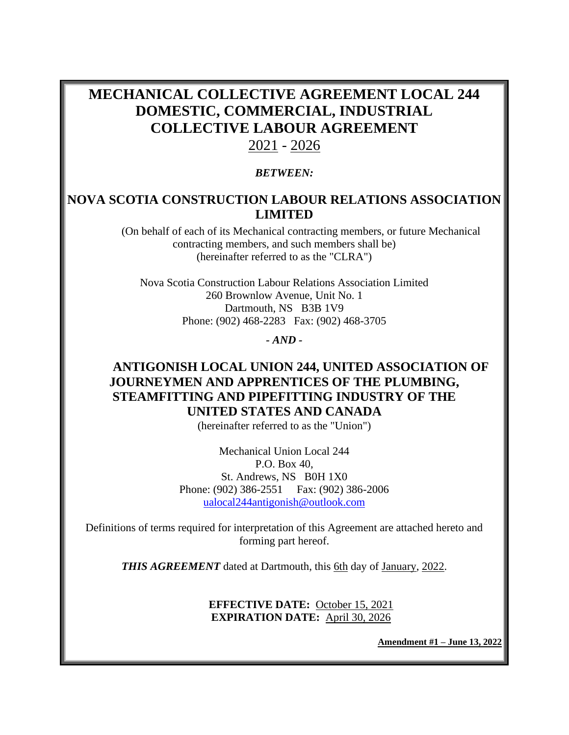# **MECHANICAL COLLECTIVE AGREEMENT LOCAL 244 DOMESTIC, COMMERCIAL, INDUSTRIAL COLLECTIVE LABOUR AGREEMENT**

# 2021 - 2026

### *BETWEEN:*

# **NOVA SCOTIA CONSTRUCTION LABOUR RELATIONS ASSOCIATION LIMITED**

(On behalf of each of its Mechanical contracting members, or future Mechanical contracting members, and such members shall be) (hereinafter referred to as the "CLRA")

Nova Scotia Construction Labour Relations Association Limited 260 Brownlow Avenue, Unit No. 1 Dartmouth, NS B3B 1V9 Phone: (902) 468-2283 Fax: (902) 468-3705

*- AND -*

## **ANTIGONISH LOCAL UNION 244, UNITED ASSOCIATION OF JOURNEYMEN AND APPRENTICES OF THE PLUMBING, STEAMFITTING AND PIPEFITTING INDUSTRY OF THE UNITED STATES AND CANADA**

(hereinafter referred to as the "Union")

Mechanical Union Local 244 P.O. Box 40, St. Andrews, NS B0H 1X0 Phone: (902) 386-2551 Fax: (902) 386-2006 [ualocal244antigonish@outlook.com](mailto:ualocal244antigonish@outlook.com)

Definitions of terms required for interpretation of this Agreement are attached hereto and forming part hereof.

**THIS AGREEMENT** dated at Dartmouth, this 6th day of January, 2022.

**EFFECTIVE DATE:** October 15, 2021 **EXPIRATION DATE:** April 30, 2026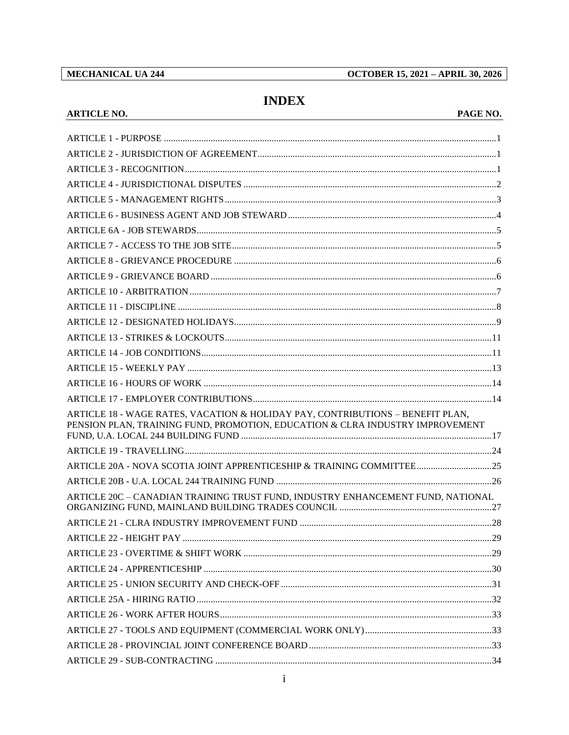MECHANICAL UA 244

**ARTICLE NO.** 

**OCTOBER 15, 2021 - APRIL 30, 2026** 

# **INDEX**

#### PAGE NO.

| ARTICLE 18 - WAGE RATES, VACATION & HOLIDAY PAY, CONTRIBUTIONS - BENEFIT PLAN,<br>PENSION PLAN, TRAINING FUND, PROMOTION, EDUCATION & CLRA INDUSTRY IMPROVEMENT |  |
|-----------------------------------------------------------------------------------------------------------------------------------------------------------------|--|
|                                                                                                                                                                 |  |
|                                                                                                                                                                 |  |
|                                                                                                                                                                 |  |
| ARTICLE 20C - CANADIAN TRAINING TRUST FUND, INDUSTRY ENHANCEMENT FUND, NATIONAL                                                                                 |  |
|                                                                                                                                                                 |  |
|                                                                                                                                                                 |  |
|                                                                                                                                                                 |  |
|                                                                                                                                                                 |  |
|                                                                                                                                                                 |  |
|                                                                                                                                                                 |  |
|                                                                                                                                                                 |  |
|                                                                                                                                                                 |  |
|                                                                                                                                                                 |  |
|                                                                                                                                                                 |  |
|                                                                                                                                                                 |  |
|                                                                                                                                                                 |  |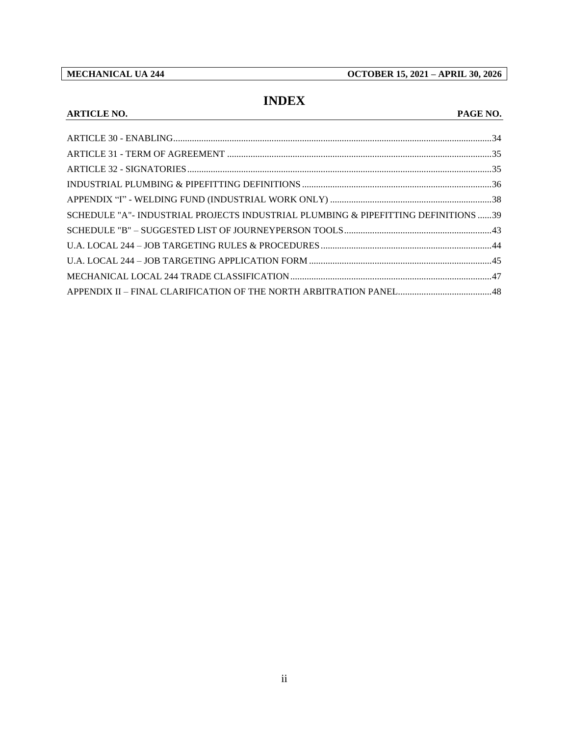**MECHANICAL UA 244 OCTOBER 15, 2021 – APRIL 30, 2026**

# **INDEX**

#### **ARTICLE NO. PAGE NO.**

| SCHEDULE "A" - INDUSTRIAL PROJECTS INDUSTRIAL PLUMBING & PIPEFITTING DEFINITIONS 39 |  |
|-------------------------------------------------------------------------------------|--|
|                                                                                     |  |
|                                                                                     |  |
|                                                                                     |  |
|                                                                                     |  |
|                                                                                     |  |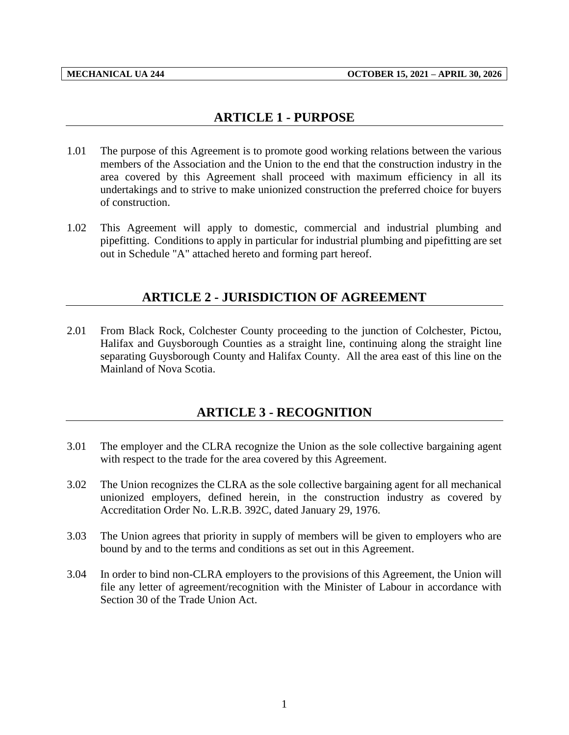## **ARTICLE 1 - PURPOSE**

- <span id="page-3-0"></span>1.01 The purpose of this Agreement is to promote good working relations between the various members of the Association and the Union to the end that the construction industry in the area covered by this Agreement shall proceed with maximum efficiency in all its undertakings and to strive to make unionized construction the preferred choice for buyers of construction.
- <span id="page-3-1"></span>1.02 This Agreement will apply to domestic, commercial and industrial plumbing and pipefitting. Conditions to apply in particular for industrial plumbing and pipefitting are set out in Schedule "A" attached hereto and forming part hereof.

## **ARTICLE 2 - JURISDICTION OF AGREEMENT**

2.01 From Black Rock, Colchester County proceeding to the junction of Colchester, Pictou, Halifax and Guysborough Counties as a straight line, continuing along the straight line separating Guysborough County and Halifax County. All the area east of this line on the Mainland of Nova Scotia.

# **ARTICLE 3 - RECOGNITION**

- <span id="page-3-2"></span>3.01 The employer and the CLRA recognize the Union as the sole collective bargaining agent with respect to the trade for the area covered by this Agreement.
- 3.02 The Union recognizes the CLRA as the sole collective bargaining agent for all mechanical unionized employers, defined herein, in the construction industry as covered by Accreditation Order No. L.R.B. 392C, dated January 29, 1976.
- 3.03 The Union agrees that priority in supply of members will be given to employers who are bound by and to the terms and conditions as set out in this Agreement.
- 3.04 In order to bind non-CLRA employers to the provisions of this Agreement, the Union will file any letter of agreement/recognition with the Minister of Labour in accordance with Section 30 of the Trade Union Act.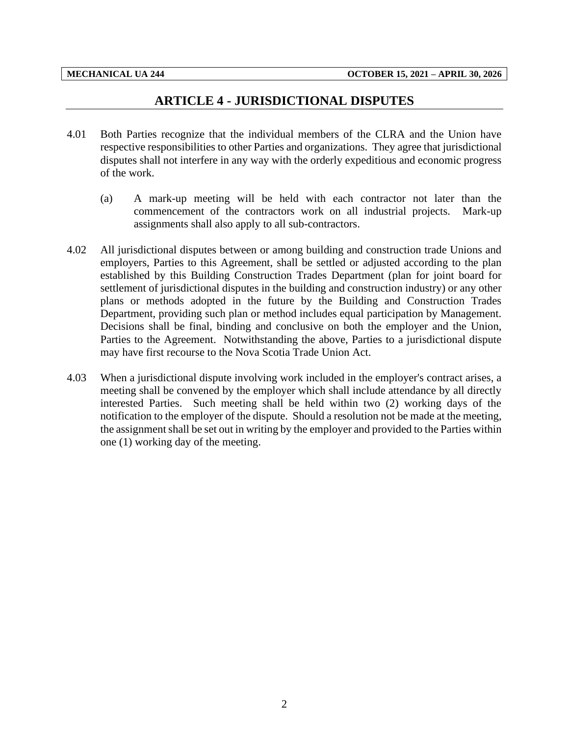## **ARTICLE 4 - JURISDICTIONAL DISPUTES**

- <span id="page-4-0"></span>4.01 Both Parties recognize that the individual members of the CLRA and the Union have respective responsibilities to other Parties and organizations. They agree that jurisdictional disputes shall not interfere in any way with the orderly expeditious and economic progress of the work.
	- (a) A mark-up meeting will be held with each contractor not later than the commencement of the contractors work on all industrial projects. Mark-up assignments shall also apply to all sub-contractors.
- 4.02 All jurisdictional disputes between or among building and construction trade Unions and employers, Parties to this Agreement, shall be settled or adjusted according to the plan established by this Building Construction Trades Department (plan for joint board for settlement of jurisdictional disputes in the building and construction industry) or any other plans or methods adopted in the future by the Building and Construction Trades Department, providing such plan or method includes equal participation by Management. Decisions shall be final, binding and conclusive on both the employer and the Union, Parties to the Agreement. Notwithstanding the above, Parties to a jurisdictional dispute may have first recourse to the Nova Scotia Trade Union Act.
- 4.03 When a jurisdictional dispute involving work included in the employer's contract arises, a meeting shall be convened by the employer which shall include attendance by all directly interested Parties. Such meeting shall be held within two (2) working days of the notification to the employer of the dispute. Should a resolution not be made at the meeting, the assignment shall be set out in writing by the employer and provided to the Parties within one (1) working day of the meeting.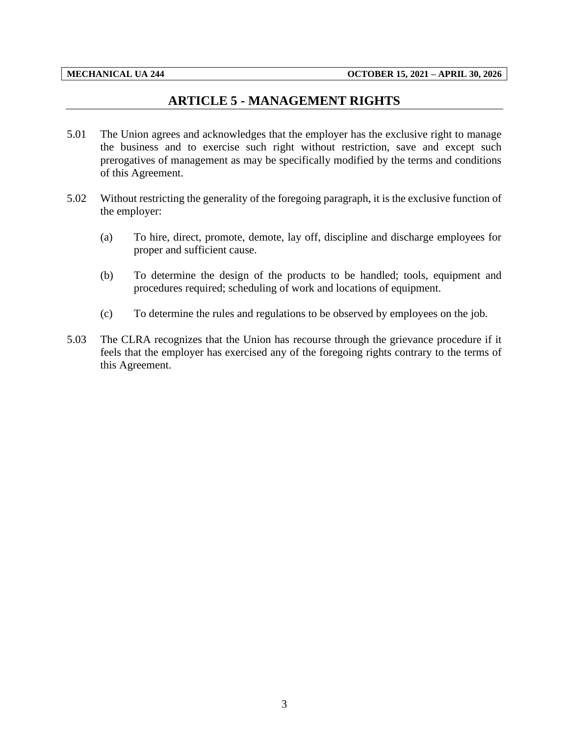## **ARTICLE 5 - MANAGEMENT RIGHTS**

- <span id="page-5-0"></span>5.01 The Union agrees and acknowledges that the employer has the exclusive right to manage the business and to exercise such right without restriction, save and except such prerogatives of management as may be specifically modified by the terms and conditions of this Agreement.
- 5.02 Without restricting the generality of the foregoing paragraph, it is the exclusive function of the employer:
	- (a) To hire, direct, promote, demote, lay off, discipline and discharge employees for proper and sufficient cause.
	- (b) To determine the design of the products to be handled; tools, equipment and procedures required; scheduling of work and locations of equipment.
	- (c) To determine the rules and regulations to be observed by employees on the job.
- 5.03 The CLRA recognizes that the Union has recourse through the grievance procedure if it feels that the employer has exercised any of the foregoing rights contrary to the terms of this Agreement.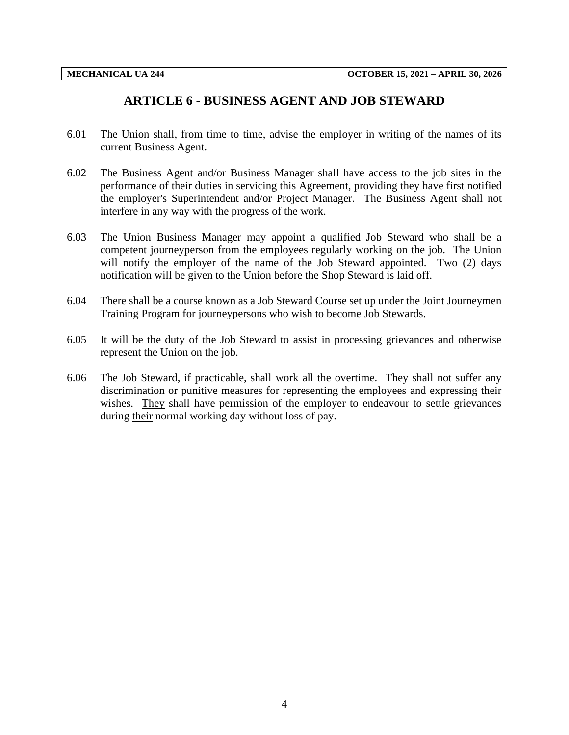### **ARTICLE 6 - BUSINESS AGENT AND JOB STEWARD**

- <span id="page-6-0"></span>6.01 The Union shall, from time to time, advise the employer in writing of the names of its current Business Agent.
- 6.02 The Business Agent and/or Business Manager shall have access to the job sites in the performance of their duties in servicing this Agreement, providing they have first notified the employer's Superintendent and/or Project Manager. The Business Agent shall not interfere in any way with the progress of the work.
- 6.03 The Union Business Manager may appoint a qualified Job Steward who shall be a competent journeyperson from the employees regularly working on the job. The Union will notify the employer of the name of the Job Steward appointed. Two (2) days notification will be given to the Union before the Shop Steward is laid off.
- 6.04 There shall be a course known as a Job Steward Course set up under the Joint Journeymen Training Program for journeypersons who wish to become Job Stewards.
- 6.05 It will be the duty of the Job Steward to assist in processing grievances and otherwise represent the Union on the job.
- 6.06 The Job Steward, if practicable, shall work all the overtime. They shall not suffer any discrimination or punitive measures for representing the employees and expressing their wishes. They shall have permission of the employer to endeavour to settle grievances during their normal working day without loss of pay.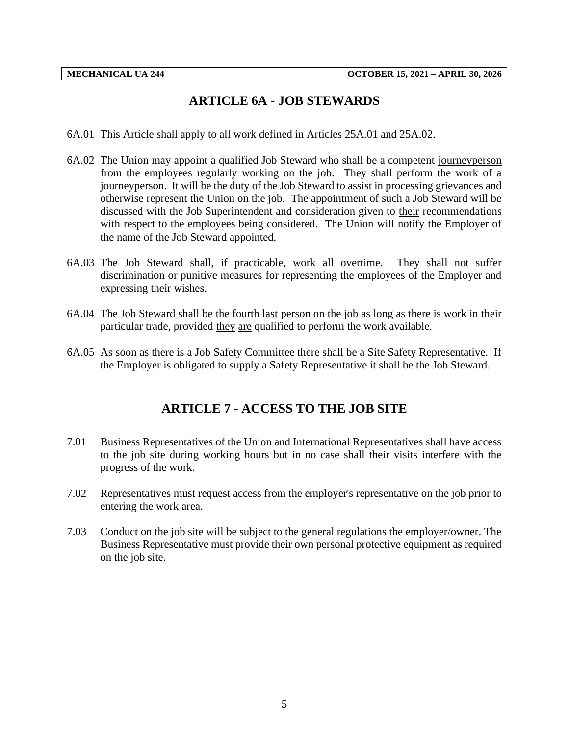## **ARTICLE 6A - JOB STEWARDS**

- <span id="page-7-0"></span>6A.01 This Article shall apply to all work defined in Articles 25A.01 and 25A.02.
- 6A.02 The Union may appoint a qualified Job Steward who shall be a competent journeyperson from the employees regularly working on the job. They shall perform the work of a journeyperson. It will be the duty of the Job Steward to assist in processing grievances and otherwise represent the Union on the job. The appointment of such a Job Steward will be discussed with the Job Superintendent and consideration given to their recommendations with respect to the employees being considered. The Union will notify the Employer of the name of the Job Steward appointed.
- 6A.03 The Job Steward shall, if practicable, work all overtime. They shall not suffer discrimination or punitive measures for representing the employees of the Employer and expressing their wishes.
- 6A.04 The Job Steward shall be the fourth last person on the job as long as there is work in their particular trade, provided they are qualified to perform the work available.
- <span id="page-7-1"></span>6A.05 As soon as there is a Job Safety Committee there shall be a Site Safety Representative. If the Employer is obligated to supply a Safety Representative it shall be the Job Steward.

## **ARTICLE 7 - ACCESS TO THE JOB SITE**

- 7.01 Business Representatives of the Union and International Representatives shall have access to the job site during working hours but in no case shall their visits interfere with the progress of the work.
- 7.02 Representatives must request access from the employer's representative on the job prior to entering the work area.
- 7.03 Conduct on the job site will be subject to the general regulations the employer/owner. The Business Representative must provide their own personal protective equipment as required on the job site.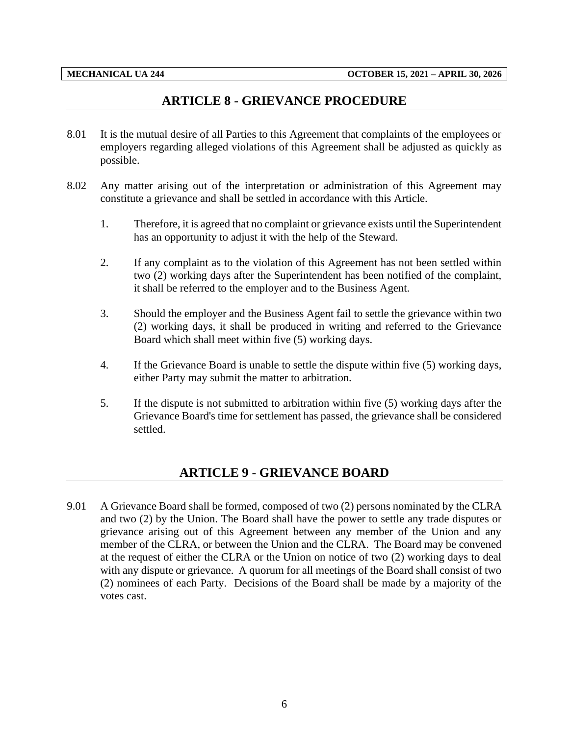## **ARTICLE 8 - GRIEVANCE PROCEDURE**

- <span id="page-8-0"></span>8.01 It is the mutual desire of all Parties to this Agreement that complaints of the employees or employers regarding alleged violations of this Agreement shall be adjusted as quickly as possible.
- 8.02 Any matter arising out of the interpretation or administration of this Agreement may constitute a grievance and shall be settled in accordance with this Article.
	- 1. Therefore, it is agreed that no complaint or grievance exists until the Superintendent has an opportunity to adjust it with the help of the Steward.
	- 2. If any complaint as to the violation of this Agreement has not been settled within two (2) working days after the Superintendent has been notified of the complaint, it shall be referred to the employer and to the Business Agent.
	- 3. Should the employer and the Business Agent fail to settle the grievance within two (2) working days, it shall be produced in writing and referred to the Grievance Board which shall meet within five (5) working days.
	- 4. If the Grievance Board is unable to settle the dispute within five (5) working days, either Party may submit the matter to arbitration.
	- 5. If the dispute is not submitted to arbitration within five (5) working days after the Grievance Board's time for settlement has passed, the grievance shall be considered settled.

## **ARTICLE 9 - GRIEVANCE BOARD**

<span id="page-8-1"></span>9.01 A Grievance Board shall be formed, composed of two (2) persons nominated by the CLRA and two (2) by the Union. The Board shall have the power to settle any trade disputes or grievance arising out of this Agreement between any member of the Union and any member of the CLRA, or between the Union and the CLRA. The Board may be convened at the request of either the CLRA or the Union on notice of two (2) working days to deal with any dispute or grievance. A quorum for all meetings of the Board shall consist of two (2) nominees of each Party. Decisions of the Board shall be made by a majority of the votes cast.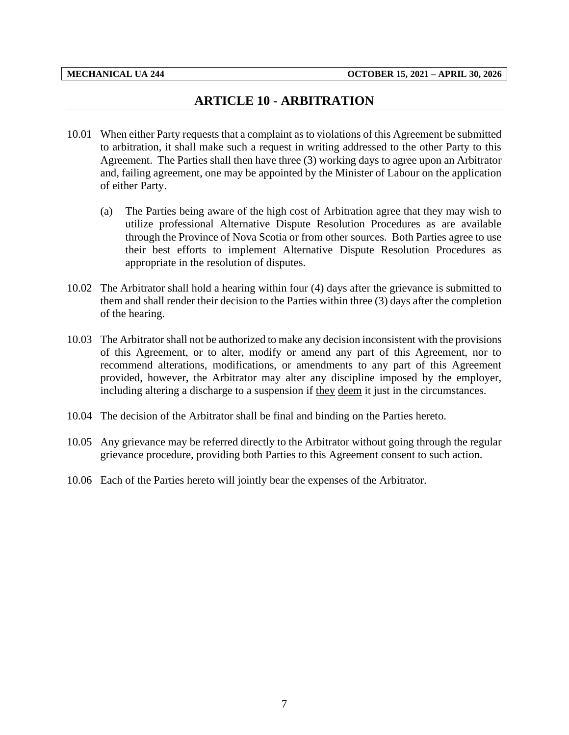## **ARTICLE 10 - ARBITRATION**

- <span id="page-9-0"></span>10.01 When either Party requests that a complaint as to violations of this Agreement be submitted to arbitration, it shall make such a request in writing addressed to the other Party to this Agreement. The Parties shall then have three (3) working days to agree upon an Arbitrator and, failing agreement, one may be appointed by the Minister of Labour on the application of either Party.
	- (a) The Parties being aware of the high cost of Arbitration agree that they may wish to utilize professional Alternative Dispute Resolution Procedures as are available through the Province of Nova Scotia or from other sources. Both Parties agree to use their best efforts to implement Alternative Dispute Resolution Procedures as appropriate in the resolution of disputes.
- 10.02 The Arbitrator shall hold a hearing within four (4) days after the grievance is submitted to them and shall render their decision to the Parties within three (3) days after the completion of the hearing.
- 10.03 The Arbitrator shall not be authorized to make any decision inconsistent with the provisions of this Agreement, or to alter, modify or amend any part of this Agreement, nor to recommend alterations, modifications, or amendments to any part of this Agreement provided, however, the Arbitrator may alter any discipline imposed by the employer, including altering a discharge to a suspension if they deem it just in the circumstances.
- 10.04 The decision of the Arbitrator shall be final and binding on the Parties hereto.
- 10.05 Any grievance may be referred directly to the Arbitrator without going through the regular grievance procedure, providing both Parties to this Agreement consent to such action.
- 10.06 Each of the Parties hereto will jointly bear the expenses of the Arbitrator.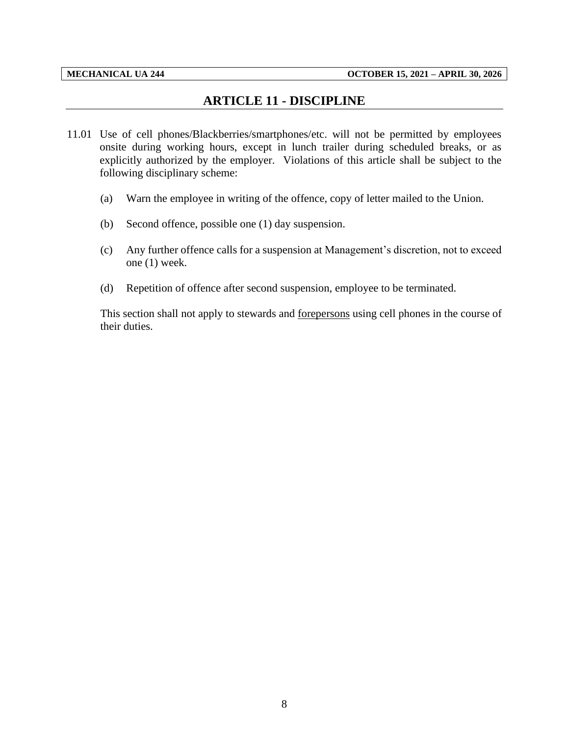## **ARTICLE 11 - DISCIPLINE**

- <span id="page-10-0"></span>11.01 Use of cell phones/Blackberries/smartphones/etc. will not be permitted by employees onsite during working hours, except in lunch trailer during scheduled breaks, or as explicitly authorized by the employer. Violations of this article shall be subject to the following disciplinary scheme:
	- (a) Warn the employee in writing of the offence, copy of letter mailed to the Union.
	- (b) Second offence, possible one (1) day suspension.
	- (c) Any further offence calls for a suspension at Management's discretion, not to exceed one (1) week.
	- (d) Repetition of offence after second suspension, employee to be terminated.

This section shall not apply to stewards and forepersons using cell phones in the course of their duties.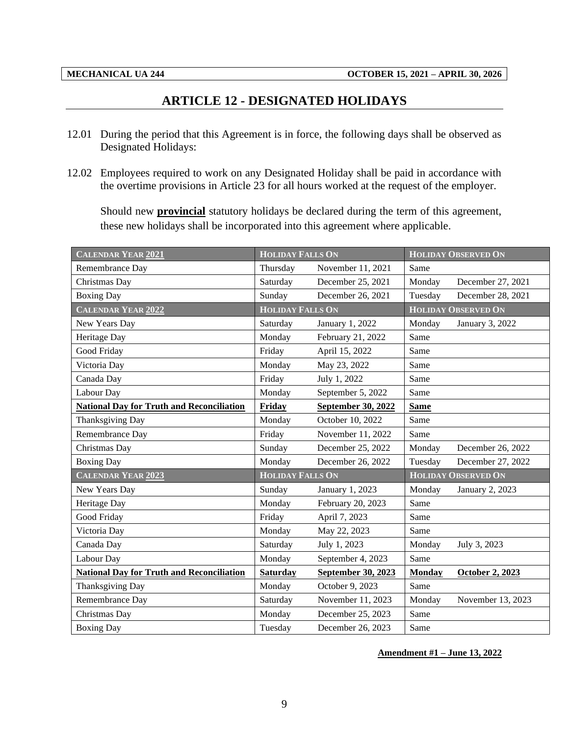## **ARTICLE 12 - DESIGNATED HOLIDAYS**

- <span id="page-11-0"></span>12.01 During the period that this Agreement is in force, the following days shall be observed as Designated Holidays:
- 12.02 Employees required to work on any Designated Holiday shall be paid in accordance with the overtime provisions in Article 23 for all hours worked at the request of the employer.

Should new **provincial** statutory holidays be declared during the term of this agreement, these new holidays shall be incorporated into this agreement where applicable.

| <b>CALENDAR YEAR 2021</b>                        | <b>HOLIDAY FALLS ON</b> |                    | <b>HOLIDAY OBSERVED ON</b> |                            |  |
|--------------------------------------------------|-------------------------|--------------------|----------------------------|----------------------------|--|
| Remembrance Day                                  | Thursday                | November 11, 2021  | Same                       |                            |  |
| Christmas Day                                    | Saturday                | December 25, 2021  | Monday                     | December 27, 2021          |  |
| <b>Boxing Day</b>                                | Sunday                  | December 26, 2021  | Tuesday                    | December 28, 2021          |  |
| <b>CALENDAR YEAR 2022</b>                        | <b>HOLIDAY FALLS ON</b> |                    |                            | <b>HOLIDAY OBSERVED ON</b> |  |
| New Years Day                                    | Saturday                | January 1, 2022    | Monday                     | January 3, 2022            |  |
| Heritage Day                                     | Monday                  | February 21, 2022  | Same                       |                            |  |
| Good Friday                                      | Friday                  | April 15, 2022     | Same                       |                            |  |
| Victoria Day                                     | Monday                  | May 23, 2022       | Same                       |                            |  |
| Canada Day                                       | Friday                  | July 1, 2022       | Same                       |                            |  |
| Labour Day                                       | Monday                  | September 5, 2022  | Same                       |                            |  |
| <b>National Day for Truth and Reconciliation</b> | Friday                  | September 30, 2022 | <b>Same</b>                |                            |  |
| Thanksgiving Day                                 | Monday                  | October 10, 2022   | Same                       |                            |  |
| Remembrance Day                                  | Friday                  | November 11, 2022  | Same                       |                            |  |
| Christmas Day                                    | Sunday                  | December 25, 2022  | Monday                     | December 26, 2022          |  |
| <b>Boxing Day</b>                                | Monday                  | December 26, 2022  | Tuesday                    | December 27, 2022          |  |
| <b>CALENDAR YEAR 2023</b>                        | <b>HOLIDAY FALLS ON</b> |                    |                            | <b>HOLIDAY OBSERVED ON</b> |  |
| New Years Day                                    | Sunday                  | January 1, 2023    | Monday                     | January 2, 2023            |  |
| Heritage Day                                     | Monday                  | February 20, 2023  | Same                       |                            |  |
| Good Friday                                      | Friday                  | April 7, 2023      | Same                       |                            |  |
| Victoria Day                                     | Monday                  | May 22, 2023       | Same                       |                            |  |
| Canada Day                                       | Saturday                | July 1, 2023       | Monday                     | July 3, 2023               |  |
| Labour Day                                       | Monday                  | September 4, 2023  |                            |                            |  |
| <b>National Day for Truth and Reconciliation</b> | Saturday                | September 30, 2023 |                            | <b>October 2, 2023</b>     |  |
| Thanksgiving Day                                 | Monday                  | October 9, 2023    | Same                       |                            |  |
| Remembrance Day                                  | Saturday                | November 11, 2023  | Monday                     | November 13, 2023          |  |
| Christmas Day                                    | Monday                  | December 25, 2023  | Same                       |                            |  |
| <b>Boxing Day</b>                                | Tuesday                 | December 26, 2023  | Same                       |                            |  |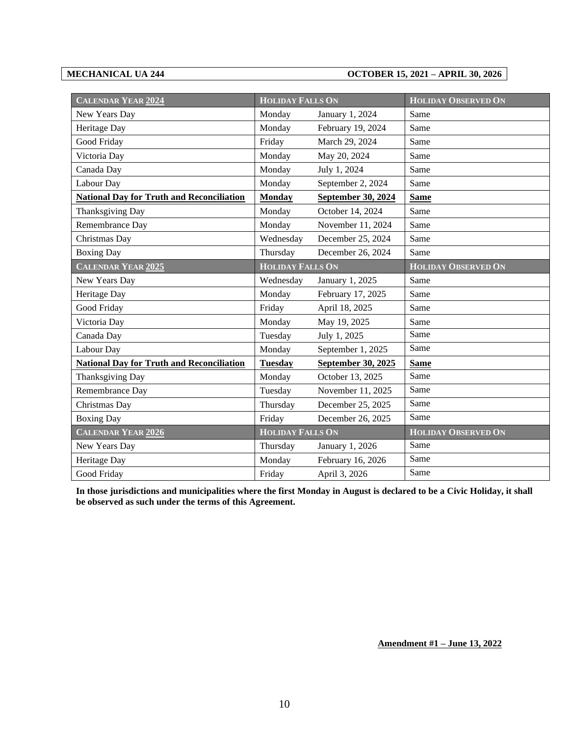#### **MECHANICAL UA 244 OCTOBER 15, 2021 – APRIL 30, 2026**

| <b>CALENDAR YEAR 2024</b>                        | <b>HOLIDAY FALLS ON</b> |                           | <b>HOLIDAY OBSERVED ON</b> |  |  |
|--------------------------------------------------|-------------------------|---------------------------|----------------------------|--|--|
| New Years Day                                    | Monday                  | January 1, 2024           | Same                       |  |  |
| Heritage Day                                     | Monday                  | February 19, 2024         | Same                       |  |  |
| Good Friday                                      | Friday                  | March 29, 2024            | Same                       |  |  |
| Victoria Day                                     | Monday                  | May 20, 2024              | Same                       |  |  |
| Canada Day                                       | Monday                  | July 1, 2024              | Same                       |  |  |
| Labour Day                                       | Monday                  | September 2, 2024         | Same                       |  |  |
| <b>National Day for Truth and Reconciliation</b> | <b>Monday</b>           | <b>September 30, 2024</b> | <b>Same</b>                |  |  |
| Thanksgiving Day                                 | Monday                  | October 14, 2024          | Same                       |  |  |
| Remembrance Day                                  | Monday                  | November 11, 2024         | Same                       |  |  |
| Christmas Day                                    | Wednesday               | December 25, 2024         | Same                       |  |  |
| <b>Boxing Day</b>                                | Thursday                | December 26, 2024         | Same                       |  |  |
| <b>CALENDAR YEAR 2025</b>                        | <b>HOLIDAY FALLS ON</b> |                           | <b>HOLIDAY OBSERVED ON</b> |  |  |
| New Years Day                                    | Wednesday               | January 1, 2025           | Same                       |  |  |
| Heritage Day                                     | Monday                  | February 17, 2025         | Same                       |  |  |
| Good Friday                                      | Friday                  | April 18, 2025            | Same                       |  |  |
| Victoria Day                                     | Monday                  | May 19, 2025              | Same                       |  |  |
| Canada Day                                       | Tuesday                 | July 1, 2025              | Same                       |  |  |
| Labour Day                                       | Monday                  | September 1, 2025         | Same                       |  |  |
| <b>National Day for Truth and Reconciliation</b> | <b>Tuesday</b>          | September 30, 2025        | <b>Same</b>                |  |  |
| Thanksgiving Day                                 | Monday                  | October 13, 2025          | Same                       |  |  |
| Remembrance Day                                  | Tuesday                 | November 11, 2025         | Same                       |  |  |
| Christmas Day                                    | Thursday                | December 25, 2025         | Same                       |  |  |
| <b>Boxing Day</b>                                | Friday                  | December 26, 2025         | Same                       |  |  |
| <b>CALENDAR YEAR 2026</b>                        | <b>HOLIDAY FALLS ON</b> |                           | <b>HOLIDAY OBSERVED ON</b> |  |  |
| New Years Day                                    | Thursday                | January 1, 2026           | Same                       |  |  |
| Heritage Day                                     | Monday                  | February 16, 2026         | Same                       |  |  |
| Good Friday                                      | Friday                  | April 3, 2026             | Same                       |  |  |

**In those jurisdictions and municipalities where the first Monday in August is declared to be a Civic Holiday, it shall be observed as such under the terms of this Agreement.**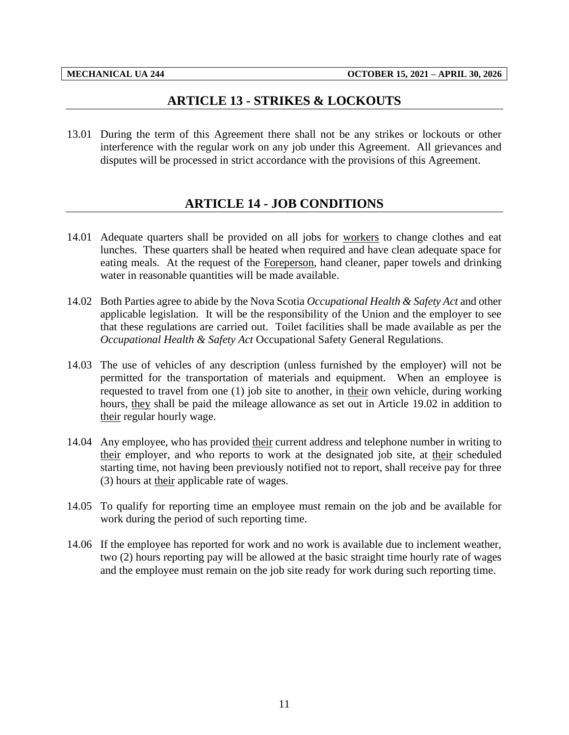## **ARTICLE 13 - STRIKES & LOCKOUTS**

<span id="page-13-1"></span><span id="page-13-0"></span>13.01 During the term of this Agreement there shall not be any strikes or lockouts or other interference with the regular work on any job under this Agreement. All grievances and disputes will be processed in strict accordance with the provisions of this Agreement.

# **ARTICLE 14 - JOB CONDITIONS**

- 14.01 Adequate quarters shall be provided on all jobs for workers to change clothes and eat lunches. These quarters shall be heated when required and have clean adequate space for eating meals. At the request of the Foreperson, hand cleaner, paper towels and drinking water in reasonable quantities will be made available.
- 14.02 Both Parties agree to abide by the Nova Scotia *Occupational Health & Safety Act* and other applicable legislation. It will be the responsibility of the Union and the employer to see that these regulations are carried out. Toilet facilities shall be made available as per the *Occupational Health & Safety Act* Occupational Safety General Regulations.
- 14.03 The use of vehicles of any description (unless furnished by the employer) will not be permitted for the transportation of materials and equipment. When an employee is requested to travel from one (1) job site to another, in their own vehicle, during working hours, they shall be paid the mileage allowance as set out in Article 19.02 in addition to their regular hourly wage.
- 14.04 Any employee, who has provided their current address and telephone number in writing to their employer, and who reports to work at the designated job site, at their scheduled starting time, not having been previously notified not to report, shall receive pay for three (3) hours at their applicable rate of wages.
- 14.05 To qualify for reporting time an employee must remain on the job and be available for work during the period of such reporting time.
- 14.06 If the employee has reported for work and no work is available due to inclement weather, two (2) hours reporting pay will be allowed at the basic straight time hourly rate of wages and the employee must remain on the job site ready for work during such reporting time.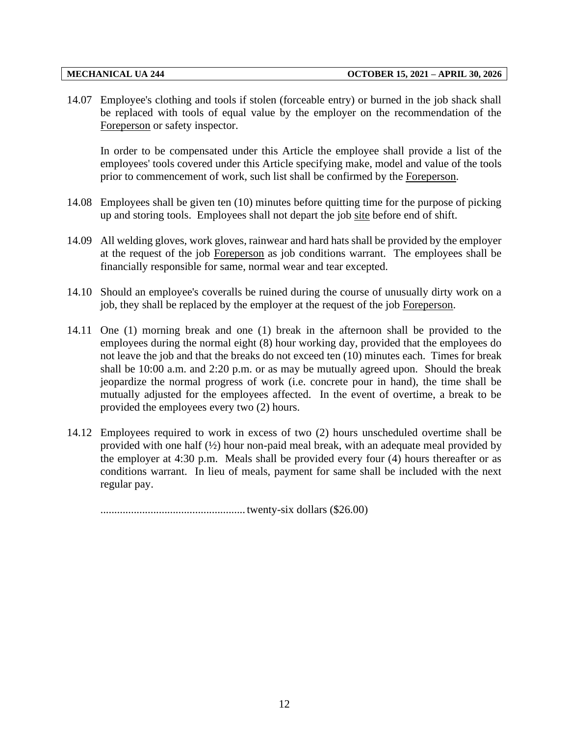14.07 Employee's clothing and tools if stolen (forceable entry) or burned in the job shack shall be replaced with tools of equal value by the employer on the recommendation of the Foreperson or safety inspector.

In order to be compensated under this Article the employee shall provide a list of the employees' tools covered under this Article specifying make, model and value of the tools prior to commencement of work, such list shall be confirmed by the Foreperson.

- 14.08 Employees shall be given ten (10) minutes before quitting time for the purpose of picking up and storing tools. Employees shall not depart the job site before end of shift.
- 14.09 All welding gloves, work gloves, rainwear and hard hats shall be provided by the employer at the request of the job Foreperson as job conditions warrant. The employees shall be financially responsible for same, normal wear and tear excepted.
- 14.10 Should an employee's coveralls be ruined during the course of unusually dirty work on a job, they shall be replaced by the employer at the request of the job Foreperson.
- 14.11 One (1) morning break and one (1) break in the afternoon shall be provided to the employees during the normal eight (8) hour working day, provided that the employees do not leave the job and that the breaks do not exceed ten (10) minutes each. Times for break shall be 10:00 a.m. and 2:20 p.m. or as may be mutually agreed upon. Should the break jeopardize the normal progress of work (i.e. concrete pour in hand), the time shall be mutually adjusted for the employees affected. In the event of overtime, a break to be provided the employees every two (2) hours.
- 14.12 Employees required to work in excess of two (2) hours unscheduled overtime shall be provided with one half  $(\frac{1}{2})$  hour non-paid meal break, with an adequate meal provided by the employer at 4:30 p.m. Meals shall be provided every four (4) hours thereafter or as conditions warrant. In lieu of meals, payment for same shall be included with the next regular pay.

.................................................... twenty-six dollars (\$26.00)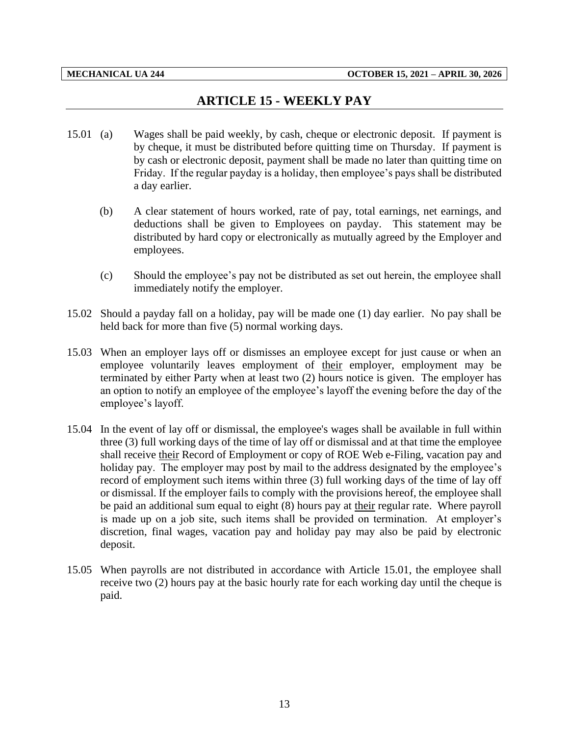# **ARTICLE 15 - WEEKLY PAY**

- <span id="page-15-0"></span>15.01 (a) Wages shall be paid weekly, by cash, cheque or electronic deposit. If payment is by cheque, it must be distributed before quitting time on Thursday. If payment is by cash or electronic deposit, payment shall be made no later than quitting time on Friday. If the regular payday is a holiday, then employee's pays shall be distributed a day earlier.
	- (b) A clear statement of hours worked, rate of pay, total earnings, net earnings, and deductions shall be given to Employees on payday. This statement may be distributed by hard copy or electronically as mutually agreed by the Employer and employees.
	- (c) Should the employee's pay not be distributed as set out herein, the employee shall immediately notify the employer.
- 15.02 Should a payday fall on a holiday, pay will be made one (1) day earlier. No pay shall be held back for more than five (5) normal working days.
- 15.03 When an employer lays off or dismisses an employee except for just cause or when an employee voluntarily leaves employment of their employer, employment may be terminated by either Party when at least two (2) hours notice is given. The employer has an option to notify an employee of the employee's layoff the evening before the day of the employee's layoff.
- 15.04 In the event of lay off or dismissal, the employee's wages shall be available in full within three (3) full working days of the time of lay off or dismissal and at that time the employee shall receive their Record of Employment or copy of ROE Web e-Filing, vacation pay and holiday pay. The employer may post by mail to the address designated by the employee's record of employment such items within three (3) full working days of the time of lay off or dismissal. If the employer fails to comply with the provisions hereof, the employee shall be paid an additional sum equal to eight (8) hours pay at their regular rate. Where payroll is made up on a job site, such items shall be provided on termination. At employer's discretion, final wages, vacation pay and holiday pay may also be paid by electronic deposit.
- 15.05 When payrolls are not distributed in accordance with Article 15.01, the employee shall receive two (2) hours pay at the basic hourly rate for each working day until the cheque is paid.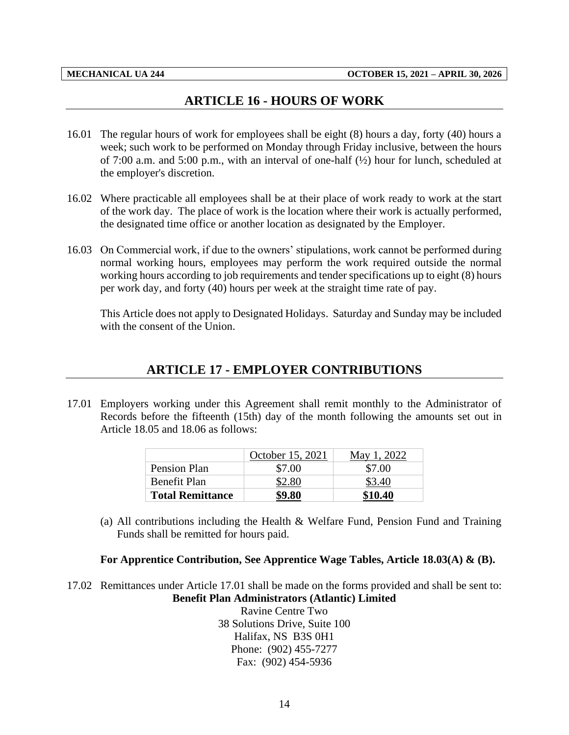## **ARTICLE 16 - HOURS OF WORK**

- <span id="page-16-0"></span>16.01 The regular hours of work for employees shall be eight (8) hours a day, forty (40) hours a week; such work to be performed on Monday through Friday inclusive, between the hours of 7:00 a.m. and 5:00 p.m., with an interval of one-half (½) hour for lunch, scheduled at the employer's discretion.
- 16.02 Where practicable all employees shall be at their place of work ready to work at the start of the work day. The place of work is the location where their work is actually performed, the designated time office or another location as designated by the Employer.
- 16.03 On Commercial work, if due to the owners' stipulations, work cannot be performed during normal working hours, employees may perform the work required outside the normal working hours according to job requirements and tender specifications up to eight (8) hours per work day, and forty (40) hours per week at the straight time rate of pay.

<span id="page-16-1"></span>This Article does not apply to Designated Holidays. Saturday and Sunday may be included with the consent of the Union.

## **ARTICLE 17 - EMPLOYER CONTRIBUTIONS**

17.01 Employers working under this Agreement shall remit monthly to the Administrator of Records before the fifteenth (15th) day of the month following the amounts set out in Article 18.05 and 18.06 as follows:

|                         | October 15, 2021 | May 1, 2022 |
|-------------------------|------------------|-------------|
| Pension Plan            | \$7.00           | \$7.00      |
| Benefit Plan            | \$2.80           | \$3.40      |
| <b>Total Remittance</b> | \$9.80           | \$10.40     |

(a) All contributions including the Health  $\&$  Welfare Fund, Pension Fund and Training Funds shall be remitted for hours paid.

#### **For Apprentice Contribution, See Apprentice Wage Tables, Article 18.03(A) & (B).**

17.02 Remittances under Article 17.01 shall be made on the forms provided and shall be sent to: **Benefit Plan Administrators (Atlantic) Limited**

> Ravine Centre Two 38 Solutions Drive, Suite 100 Halifax, NS B3S 0H1 Phone: (902) 455-7277 Fax: (902) 454-5936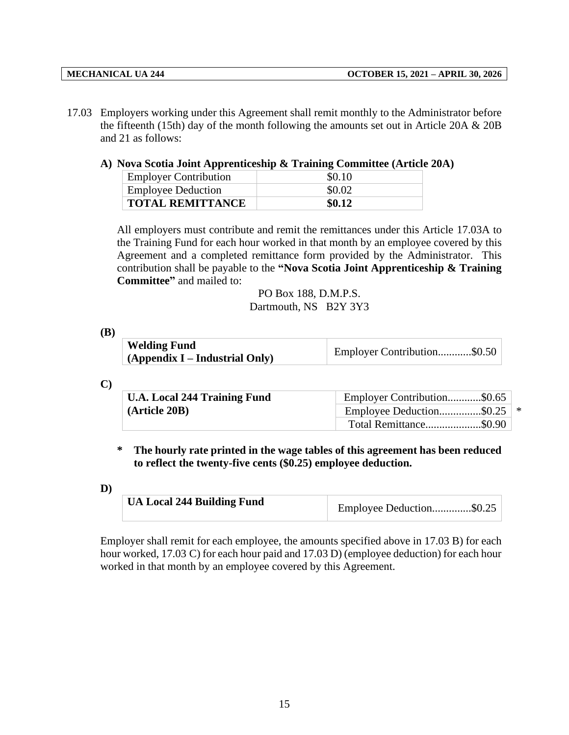- 17.03 Employers working under this Agreement shall remit monthly to the Administrator before the fifteenth (15th) day of the month following the amounts set out in Article 20A  $& 20B$ and 21 as follows:
	- **A) Nova Scotia Joint Apprenticeship & Training Committee (Article 20A)**

| <b>Employer Contribution</b> | \$0.10 |
|------------------------------|--------|
| <b>Employee Deduction</b>    | \$0.02 |
| <b>TOTAL REMITTANCE</b>      | \$0.12 |

All employers must contribute and remit the remittances under this Article 17.03A to the Training Fund for each hour worked in that month by an employee covered by this Agreement and a completed remittance form provided by the Administrator. This contribution shall be payable to the **"Nova Scotia Joint Apprenticeship & Training Committee"** and mailed to:

> PO Box 188, D.M.P.S. Dartmouth, NS B2Y 3Y3

**(B)**

| <b>Welding Fund</b>               |                             |
|-----------------------------------|-----------------------------|
| $(A$ ppendix I – Industrial Only) | Employer Contribution\$0.50 |

|   | ۹                             |  |
|---|-------------------------------|--|
| ٠ | ۰.<br>۰,<br>۰,<br>I<br>I<br>I |  |

| <b>U.A. Local 244 Training Fund</b> | Employer Contribution\$0.65    |  |
|-------------------------------------|--------------------------------|--|
| (Article 20B)                       | Employee Deduction\$0.25   $*$ |  |
|                                     | Total Remittance\$0.90         |  |

**\* The hourly rate printed in the wage tables of this agreement has been reduced to reflect the twenty-five cents (\$0.25) employee deduction.**

**D)**

| UA Local 244 Building Fund | Employee Deduction\$0.25 |
|----------------------------|--------------------------|
|----------------------------|--------------------------|

Employer shall remit for each employee, the amounts specified above in 17.03 B) for each hour worked, 17.03 C) for each hour paid and 17.03 D) (employee deduction) for each hour worked in that month by an employee covered by this Agreement.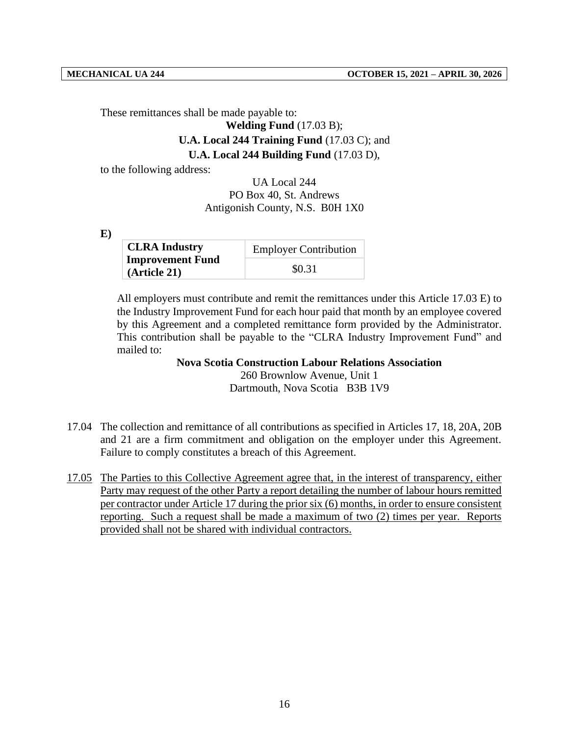These remittances shall be made payable to:

#### **Welding Fund** (17.03 B);

# **U.A. Local 244 Training Fund** (17.03 C); and

### **U.A. Local 244 Building Fund** (17.03 D),

to the following address:

UA Local 244 PO Box 40, St. Andrews Antigonish County, N.S. B0H 1X0

**E)**

| <b>CLRA Industry</b>                    | <b>Employer Contribution</b> |
|-----------------------------------------|------------------------------|
| <b>Improvement Fund</b><br>(Article 21) | \$0.31                       |

All employers must contribute and remit the remittances under this Article 17.03 E) to the Industry Improvement Fund for each hour paid that month by an employee covered by this Agreement and a completed remittance form provided by the Administrator. This contribution shall be payable to the "CLRA Industry Improvement Fund" and mailed to:

> **Nova Scotia Construction Labour Relations Association** 260 Brownlow Avenue, Unit 1 Dartmouth, Nova Scotia B3B 1V9

- 17.04 The collection and remittance of all contributions as specified in Articles 17, 18, 20A, 20B and 21 are a firm commitment and obligation on the employer under this Agreement. Failure to comply constitutes a breach of this Agreement.
- 17.05 The Parties to this Collective Agreement agree that, in the interest of transparency, either Party may request of the other Party a report detailing the number of labour hours remitted per contractor under Article 17 during the prior six (6) months, in order to ensure consistent reporting. Such a request shall be made a maximum of two (2) times per year. Reports provided shall not be shared with individual contractors.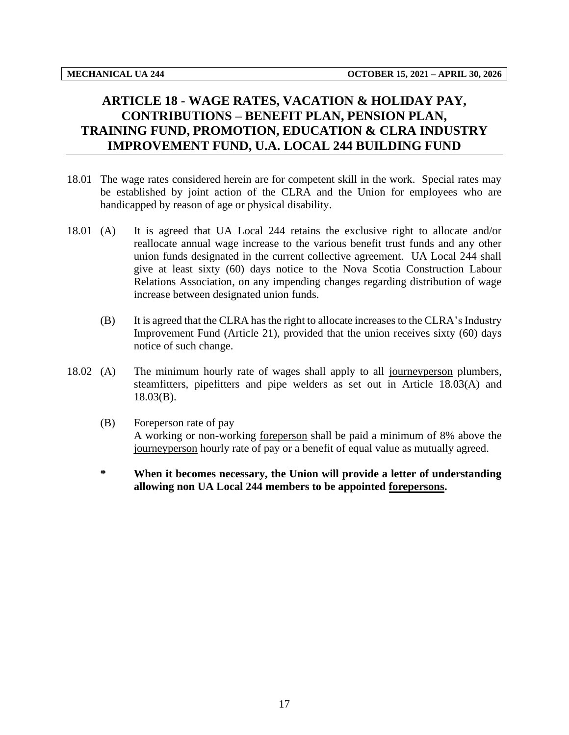# <span id="page-19-0"></span>**ARTICLE 18 - WAGE RATES, VACATION & HOLIDAY PAY, CONTRIBUTIONS – BENEFIT PLAN, PENSION PLAN, TRAINING FUND, PROMOTION, EDUCATION & CLRA INDUSTRY IMPROVEMENT FUND, U.A. LOCAL 244 BUILDING FUND**

- 18.01 The wage rates considered herein are for competent skill in the work. Special rates may be established by joint action of the CLRA and the Union for employees who are handicapped by reason of age or physical disability.
- 18.01 (A) It is agreed that UA Local 244 retains the exclusive right to allocate and/or reallocate annual wage increase to the various benefit trust funds and any other union funds designated in the current collective agreement. UA Local 244 shall give at least sixty (60) days notice to the Nova Scotia Construction Labour Relations Association, on any impending changes regarding distribution of wage increase between designated union funds.
	- (B) It is agreed that the CLRA has the right to allocate increases to the CLRA's Industry Improvement Fund (Article 21), provided that the union receives sixty (60) days notice of such change.
- 18.02 (A) The minimum hourly rate of wages shall apply to all journeyperson plumbers, steamfitters, pipefitters and pipe welders as set out in Article 18.03(A) and 18.03(B).
	- (B) Foreperson rate of pay A working or non-working foreperson shall be paid a minimum of 8% above the journeyperson hourly rate of pay or a benefit of equal value as mutually agreed.
	- **\* When it becomes necessary, the Union will provide a letter of understanding allowing non UA Local 244 members to be appointed forepersons.**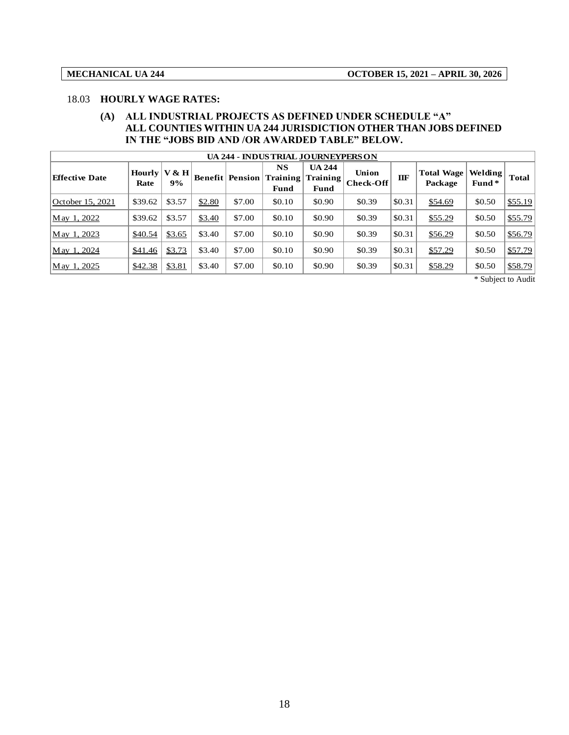#### 18.03 **HOURLY WAGE RATES:**

#### **(A) ALL INDUSTRIAL PROJECTS AS DEFINED UNDER SCHEDULE "A" ALL COUNTIES WITHIN UA 244 JURISDICTION OTHER THAN JOBS DEFINED IN THE "JOBS BID AND /OR AWARDED TABLE" BELOW.**

| <b>UA 244 - INDUSTRIAL JOURNEYPERSON</b> |                          |        |        |                             |                                   |                                   |                           |        |                              |                  |              |
|------------------------------------------|--------------------------|--------|--------|-----------------------------|-----------------------------------|-----------------------------------|---------------------------|--------|------------------------------|------------------|--------------|
| <b>Effective Date</b>                    | Hourly $ V & H $<br>Rate | 9%     |        | <b>Benefit   Pension  '</b> | <b>NS</b><br>  Training  <br>Fund | <b>UA 244</b><br>Training<br>Fund | Union<br><b>Check-Off</b> | ПF     | <b>Total Wage</b><br>Package | Welding<br>Fund* | <b>Total</b> |
| October 15, 2021                         | \$39.62                  | \$3.57 | \$2.80 | \$7.00                      | \$0.10                            | \$0.90                            | \$0.39                    | \$0.31 | \$54.69                      | \$0.50           | \$55.19      |
| $\text{M}$ ay 1, 2022                    | \$39.62                  | \$3.57 | \$3.40 | \$7.00                      | \$0.10                            | \$0.90                            | \$0.39                    | \$0.31 | \$55.29                      | \$0.50           | \$55.79      |
| $\text{M}$ ay 1, 2023                    | \$40.54                  | \$3.65 | \$3.40 | \$7.00                      | \$0.10                            | \$0.90                            | \$0.39                    | \$0.31 | \$56.29                      | \$0.50           | \$56.79      |
| $\text{M}$ ay 1, 2024                    | \$41.46                  | \$3.73 | \$3.40 | \$7.00                      | \$0.10                            | \$0.90                            | \$0.39                    | \$0.31 | \$57.29                      | \$0.50           | \$57.79      |
| May 1, 2025                              | \$42.38                  | \$3.81 | \$3.40 | \$7.00                      | \$0.10                            | \$0.90                            | \$0.39                    | \$0.31 | \$58.29                      | \$0.50           | \$58.79      |

\* Subject to Audit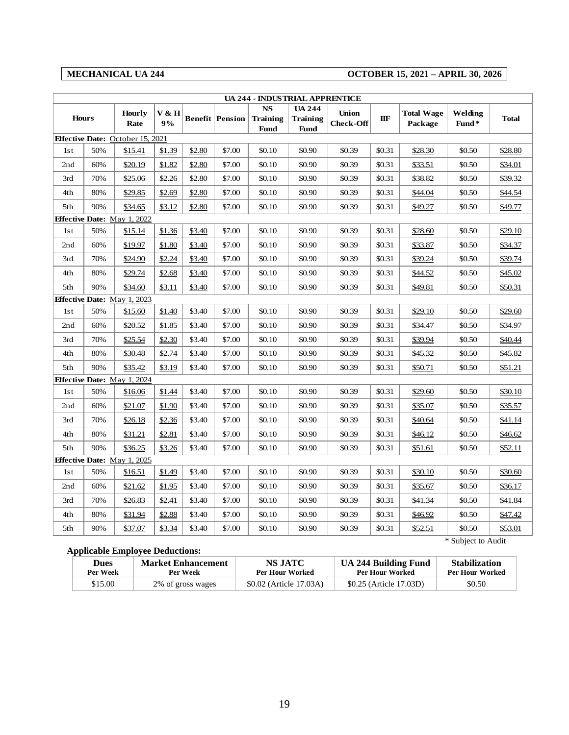### **MECHANICAL UA 244 OCTOBER 15, 2021 – APRIL 30, 2026**

|     | MEUNANUAL UA 444<br>OUTOBER 15, 2021 – AFRIL 50, 2020 |                                         |             |        |                        |                                      |                                                 |                                  |        |                              |                  |              |
|-----|-------------------------------------------------------|-----------------------------------------|-------------|--------|------------------------|--------------------------------------|-------------------------------------------------|----------------------------------|--------|------------------------------|------------------|--------------|
|     | <b>UA 244 - INDUSTRIAL APPRENTICE</b>                 |                                         |             |        |                        |                                      |                                                 |                                  |        |                              |                  |              |
|     | <b>Hours</b>                                          | <b>Hourly</b><br>Rate                   | V & H<br>9% |        | <b>Benefit Pension</b> | <b>NS</b><br><b>Training</b><br>Fund | <b>UA 244</b><br><b>Training</b><br><b>Fund</b> | <b>Union</b><br><b>Check-Off</b> | IIF    | <b>Total Wage</b><br>Package | Welding<br>Fund* | <b>Total</b> |
|     |                                                       | <b>Effective Date:</b> October 15, 2021 |             |        |                        |                                      |                                                 |                                  |        |                              |                  |              |
| 1st | 50%                                                   | \$15.41                                 | \$1.39      | \$2.80 | \$7.00                 | \$0.10                               | \$0.90                                          | \$0.39                           | \$0.31 | \$28.30                      | \$0.50           | \$28.80      |
| 2nd | 60%                                                   | \$20.19                                 | \$1.82      | \$2.80 | \$7.00                 | \$0.10                               | \$0.90                                          | \$0.39                           | \$0.31 | \$33.51                      | \$0.50           | \$34.01      |
| 3rd | 70%                                                   | \$25.06                                 | \$2.26      | \$2.80 | \$7.00                 | \$0.10                               | \$0.90                                          | \$0.39                           | \$0.31 | \$38.82                      | \$0.50           | \$39.32      |
| 4th | 80%                                                   | \$29.85                                 | \$2.69      | \$2.80 | \$7.00                 | \$0.10                               | \$0.90                                          | \$0.39                           | \$0.31 | \$44.04                      | \$0.50           | \$44.54      |
| 5th | 90%                                                   | \$34.65                                 | \$3.12      | \$2.80 | \$7.00                 | \$0.10                               | \$0.90                                          | \$0.39                           | \$0.31 | \$49.27                      | \$0.50           | \$49.77      |
|     |                                                       | <b>Effective Date:</b> May 1, 2022      |             |        |                        |                                      |                                                 |                                  |        |                              |                  |              |
| 1st | 50%                                                   | \$15.14                                 | \$1.36      | \$3.40 | \$7.00                 | \$0.10                               | \$0.90                                          | \$0.39                           | \$0.31 | \$28.60                      | \$0.50           | \$29.10      |
| 2nd | 60%                                                   | \$19.97                                 | \$1.80      | \$3.40 | \$7.00                 | \$0.10                               | \$0.90                                          | \$0.39                           | \$0.31 | \$33.87                      | \$0.50           | \$34.37      |
| 3rd | 70%                                                   | \$24.90                                 | \$2.24      | \$3.40 | \$7.00                 | \$0.10                               | \$0.90                                          | \$0.39                           | \$0.31 | \$39.24                      | \$0.50           | \$39.74      |
| 4th | 80%                                                   | \$29.74                                 | \$2.68      | \$3.40 | \$7.00                 | \$0.10                               | \$0.90                                          | \$0.39                           | \$0.31 | \$44.52                      | \$0.50           | \$45.02      |
| 5th | 90%                                                   | \$34.60                                 | \$3.11      | \$3.40 | \$7.00                 | \$0.10                               | \$0.90                                          | \$0.39                           | \$0.31 | \$49.81                      | \$0.50           | \$50.31      |
|     |                                                       | <b>Effective Date:</b> May 1, 2023      |             |        |                        |                                      |                                                 |                                  |        |                              |                  |              |
| 1st | 50%                                                   | \$15.60                                 | \$1.40      | \$3.40 | \$7.00                 | \$0.10                               | \$0.90                                          | \$0.39                           | \$0.31 | \$29.10                      | \$0.50           | \$29.60      |
| 2nd | 60%                                                   | \$20.52                                 | \$1.85      | \$3.40 | \$7.00                 | \$0.10                               | \$0.90                                          | \$0.39                           | \$0.31 | \$34.47                      | \$0.50           | \$34.97      |
| 3rd | 70%                                                   | \$25.54                                 | \$2.30      | \$3.40 | \$7.00                 | \$0.10                               | \$0.90                                          | \$0.39                           | \$0.31 | \$39.94                      | \$0.50           | \$40.44      |
| 4th | 80%                                                   | \$30.48                                 | \$2.74      | \$3.40 | \$7.00                 | \$0.10                               | \$0.90                                          | \$0.39                           | \$0.31 | \$45.32                      | \$0.50           | \$45.82      |
| 5th | 90%                                                   | \$35.42                                 | \$3.19      | \$3.40 | \$7.00                 | \$0.10                               | \$0.90                                          | \$0.39                           | \$0.31 | \$50.71                      | \$0.50           | \$51.21      |
|     |                                                       | <b>Effective Date:</b> May 1, 2024      |             |        |                        |                                      |                                                 |                                  |        |                              |                  |              |
| 1st | 50%                                                   | \$16.06                                 | \$1.44      | \$3.40 | \$7.00                 | \$0.10                               | \$0.90                                          | \$0.39                           | \$0.31 | \$29.60                      | \$0.50           | \$30.10      |
| 2nd | 60%                                                   | \$21.07                                 | \$1.90      | \$3.40 | \$7.00                 | \$0.10                               | \$0.90                                          | \$0.39                           | \$0.31 | \$35.07                      | \$0.50           | \$35.57      |
| 3rd | 70%                                                   | \$26.18                                 | \$2.36      | \$3.40 | \$7.00                 | \$0.10                               | \$0.90                                          | \$0.39                           | \$0.31 | \$40.64                      | \$0.50           | \$41.14      |
| 4th | 80%                                                   | \$31.21                                 | \$2.81      | \$3.40 | \$7.00                 | \$0.10                               | \$0.90                                          | \$0.39                           | \$0.31 | \$46.12                      | \$0.50           | \$46.62      |
| 5th | 90%                                                   | \$36.25                                 | \$3.26      | \$3.40 | \$7.00                 | \$0.10                               | \$0.90                                          | \$0.39                           | \$0.31 | \$51.61                      | \$0.50           | \$52.11      |
|     |                                                       | <b>Effective Date:</b> May 1, 2025      |             |        |                        |                                      |                                                 |                                  |        |                              |                  |              |
| 1st | 50%                                                   | \$16.51                                 | \$1.49      | \$3.40 | \$7.00                 | \$0.10                               | \$0.90                                          | \$0.39                           | \$0.31 | \$30.10                      | \$0.50           | \$30.60      |
| 2nd | 60%                                                   | \$21.62                                 | \$1.95      | \$3.40 | \$7.00                 | \$0.10                               | \$0.90                                          | \$0.39                           | \$0.31 | \$35.67                      | \$0.50           | \$36.17      |
| 3rd | 70%                                                   | \$26.83                                 | \$2.41      | \$3.40 | \$7.00                 | \$0.10                               | \$0.90                                          | \$0.39                           | \$0.31 | \$41.34                      | \$0.50           | \$41.84      |
| 4th | 80%                                                   | \$31.94                                 | \$2.88      | \$3.40 | \$7.00                 | \$0.10                               | \$0.90                                          | \$0.39                           | \$0.31 | \$46.92                      | \$0.50           | \$47.42      |
| 5th | 90%                                                   | \$37.07                                 | \$3.34      | \$3.40 | \$7.00                 | \$0.10                               | \$0.90                                          | \$0.39                           | \$0.31 | \$52.51                      | \$0.50           | \$53.01      |

#### **Applicable Employee Deductions:**

| <b>Dues</b> | <b>Market Enhancement</b> | <b>NS JATC</b>          | <b>UA 244 Building Fund</b> | <b>Stabilization</b> |
|-------------|---------------------------|-------------------------|-----------------------------|----------------------|
| Per Week    | Per Week                  | <b>Per Hour Worked</b>  | <b>Per Hour Worked</b>      | Per Hour Worked      |
| \$15.00     | 2% of gross wages         | \$0.02 (Article 17.03A) | \$0.25 (Article 17.03D)     |                      |

\* Subject to Audit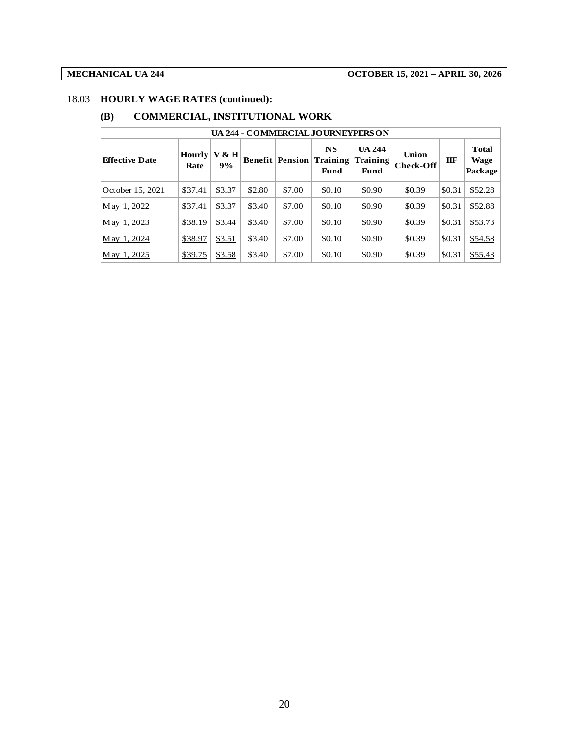### 18.03 **HOURLY WAGE RATES (continued):**

### **(B) COMMERCIAL, INSTITUTIONAL WORK**

| UA 244 - COMMERCIAL JOURNEYPERSON |                       |             |        |                            |                               |                                          |                           |        |                                        |  |
|-----------------------------------|-----------------------|-------------|--------|----------------------------|-------------------------------|------------------------------------------|---------------------------|--------|----------------------------------------|--|
| <b>Effective Date</b>             | <b>Hourly</b><br>Rate | V & H<br>9% |        | <b>Benefit   Pension  </b> | <b>NS</b><br>Training<br>Fund | <b>UA 244</b><br><b>Training</b><br>Fund | Union<br><b>Check-Off</b> | IIF    | <b>Total</b><br><b>Wage</b><br>Package |  |
| October 15, 2021                  | \$37.41               | \$3.37      | \$2.80 | \$7.00                     | \$0.10                        | \$0.90                                   | \$0.39                    | \$0.31 | \$52.28                                |  |
| May 1, 2022                       | \$37.41               | \$3.37      | \$3.40 | \$7.00                     | \$0.10                        | \$0.90                                   | \$0.39                    | \$0.31 | \$52.88                                |  |
| May 1, 2023                       | \$38.19               | \$3.44      | \$3.40 | \$7.00                     | \$0.10                        | \$0.90                                   | \$0.39                    | \$0.31 | \$53.73                                |  |
| May 1, 2024                       | \$38.97               | \$3.51      | \$3.40 | \$7.00                     | \$0.10                        | \$0.90                                   | \$0.39                    | \$0.31 | \$54.58                                |  |
| May 1, 2025                       | \$39.75               | \$3.58      | \$3.40 | \$7.00                     | \$0.10                        | \$0.90                                   | \$0.39                    | \$0.31 | \$55.43                                |  |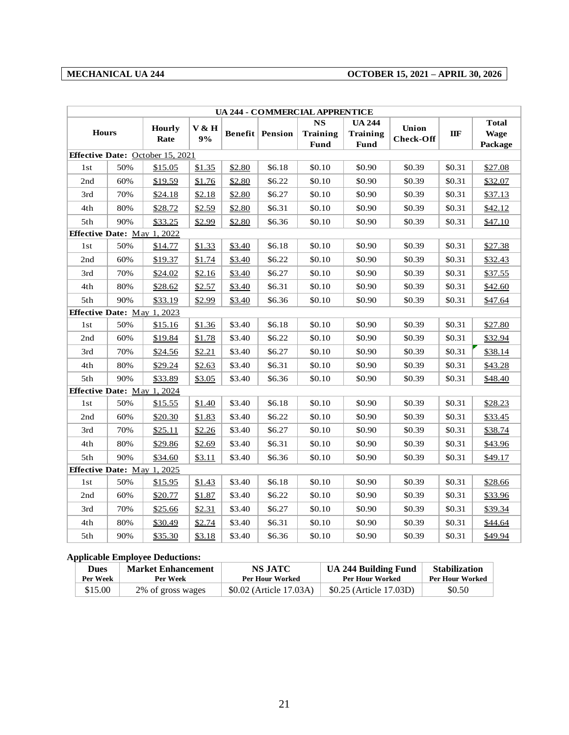### **MECHANICAL UA 244 OCTOBER 15, 2021 – APRIL 30, 2026**

| <b>UA 244 - COMMERCIAL APPRENTICE</b> |     |                                         |        |        |                        |                              |                                  |                  |        |                             |
|---------------------------------------|-----|-----------------------------------------|--------|--------|------------------------|------------------------------|----------------------------------|------------------|--------|-----------------------------|
| <b>Hours</b>                          |     | Hourly                                  | V & H  |        | <b>Benefit</b> Pension | <b>NS</b><br><b>Training</b> | <b>UA 244</b><br><b>Training</b> | Union            | IIF    | <b>Total</b><br><b>Wage</b> |
|                                       |     | Rate                                    | 9%     |        |                        | <b>Fund</b>                  | <b>Fund</b>                      | <b>Check-Off</b> |        | Package                     |
|                                       |     | <b>Effective Date:</b> October 15, 2021 |        |        |                        |                              |                                  |                  |        |                             |
| 1st                                   | 50% | \$15.05                                 | \$1.35 | \$2.80 | \$6.18                 | \$0.10                       | \$0.90                           | \$0.39           | \$0.31 | \$27.08                     |
| 2nd                                   | 60% | \$19.59                                 | \$1.76 | \$2.80 | \$6.22                 | \$0.10                       | \$0.90                           | \$0.39           | \$0.31 | \$32.07                     |
| 3rd                                   | 70% | \$24.18                                 | \$2.18 | \$2.80 | \$6.27                 | \$0.10                       | \$0.90                           | \$0.39           | \$0.31 | \$37.13                     |
| 4th                                   | 80% | \$28.72                                 | \$2.59 | \$2.80 | \$6.31                 | \$0.10                       | \$0.90                           | \$0.39           | \$0.31 | \$42.12                     |
| 5th                                   | 90% | \$33.25                                 | \$2.99 | \$2.80 | \$6.36                 | \$0.10                       | \$0.90                           | \$0.39           | \$0.31 | \$47.10                     |
| Effective Date: May 1, 2022           |     |                                         |        |        |                        |                              |                                  |                  |        |                             |
| 1st                                   | 50% | \$14.77                                 | \$1.33 | \$3.40 | \$6.18                 | \$0.10                       | \$0.90                           | \$0.39           | \$0.31 | \$27.38                     |
| 2nd                                   | 60% | \$19.37                                 | \$1.74 | \$3.40 | \$6.22                 | \$0.10                       | \$0.90                           | \$0.39           | \$0.31 | \$32.43                     |
| 3rd                                   | 70% | \$24.02                                 | \$2.16 | \$3.40 | \$6.27                 | \$0.10                       | \$0.90                           | \$0.39           | \$0.31 | \$37.55                     |
| 4th                                   | 80% | \$28.62                                 | \$2.57 | \$3.40 | \$6.31                 | \$0.10                       | \$0.90                           | \$0.39           | \$0.31 | \$42.60                     |
| 5th                                   | 90% | \$33.19                                 | \$2.99 | \$3.40 | \$6.36                 | \$0.10                       | \$0.90                           | \$0.39           | \$0.31 | \$47.64                     |
| Effective Date: May 1, 2023           |     |                                         |        |        |                        |                              |                                  |                  |        |                             |
| 1st                                   | 50% | \$15.16                                 | \$1.36 | \$3.40 | \$6.18                 | \$0.10                       | \$0.90                           | \$0.39           | \$0.31 | \$27.80                     |
| 2nd                                   | 60% | \$19.84                                 | \$1.78 | \$3.40 | \$6.22                 | \$0.10                       | \$0.90                           | \$0.39           | \$0.31 | \$32.94                     |
| 3rd                                   | 70% | \$24.56                                 | \$2.21 | \$3.40 | \$6.27                 | \$0.10                       | \$0.90                           | \$0.39           | \$0.31 | \$38.14                     |
| 4th                                   | 80% | \$29.24                                 | \$2.63 | \$3.40 | \$6.31                 | \$0.10                       | \$0.90                           | \$0.39           | \$0.31 | \$43.28                     |
| 5th                                   | 90% | \$33.89                                 | \$3.05 | \$3.40 | \$6.36                 | \$0.10                       | \$0.90                           | \$0.39           | \$0.31 | \$48.40                     |
| Effective Date: May 1, 2024           |     |                                         |        |        |                        |                              |                                  |                  |        |                             |
| 1st                                   | 50% | \$15.55                                 | \$1.40 | \$3.40 | \$6.18                 | \$0.10                       | \$0.90                           | \$0.39           | \$0.31 | \$28.23                     |
| 2nd                                   | 60% | \$20.30                                 | \$1.83 | \$3.40 | \$6.22                 | \$0.10                       | \$0.90                           | \$0.39           | \$0.31 | \$33.45                     |
| 3rd                                   | 70% | \$25.11                                 | \$2.26 | \$3.40 | \$6.27                 | \$0.10                       | \$0.90                           | \$0.39           | \$0.31 | \$38.74                     |
| 4th                                   | 80% | \$29.86                                 | \$2.69 | \$3.40 | \$6.31                 | \$0.10                       | \$0.90                           | \$0.39           | \$0.31 | \$43.96                     |
| 5th                                   | 90% | \$34.60                                 | \$3.11 | \$3.40 | \$6.36                 | \$0.10                       | \$0.90                           | \$0.39           | \$0.31 | \$49.17                     |
| Effective Date: May 1, 2025           |     |                                         |        |        |                        |                              |                                  |                  |        |                             |
| 1st                                   | 50% | \$15.95                                 | \$1.43 | \$3.40 | \$6.18                 | \$0.10                       | \$0.90                           | \$0.39           | \$0.31 | \$28.66                     |
| 2nd                                   | 60% | \$20.77                                 | \$1.87 | \$3.40 | \$6.22                 | \$0.10                       | \$0.90                           | \$0.39           | \$0.31 | \$33.96                     |
| 3rd                                   | 70% | \$25.66                                 | \$2.31 | \$3.40 | \$6.27                 | \$0.10                       | \$0.90                           | \$0.39           | \$0.31 | \$39.34                     |
| 4th                                   | 80% | \$30.49                                 | \$2.74 | \$3.40 | \$6.31                 | \$0.10                       | \$0.90                           | \$0.39           | \$0.31 | \$44.64                     |
| 5th                                   | 90% | \$35.30                                 | \$3.18 | \$3.40 | \$6.36                 | \$0.10                       | \$0.90                           | \$0.39           | \$0.31 | \$49.94                     |

#### **Applicable Employee Deductions:**

| <b>Dues</b> | <b>Market Enhancement</b> | NS JATC                 | <b>UA 244 Building Fund</b> | <b>Stabilization</b> |
|-------------|---------------------------|-------------------------|-----------------------------|----------------------|
| Per Week    | Per Week                  | <b>Per Hour Worked</b>  | Per Hour Worked             | Per Hour Worked      |
| \$15.00     | 2% of gross wages         | \$0.02 (Article 17.03A) | \$0.25 (Article 17.03D)     |                      |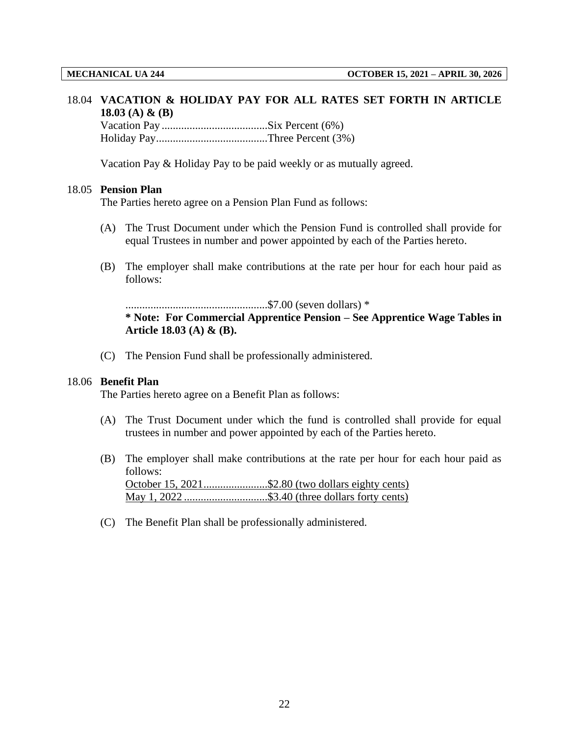#### 18.04 **VACATION & HOLIDAY PAY FOR ALL RATES SET FORTH IN ARTICLE 18.03 (A) & (B)**

Vacation Pay ......................................Six Percent (6%) Holiday Pay........................................Three Percent (3%)

Vacation Pay & Holiday Pay to be paid weekly or as mutually agreed.

#### 18.05 **Pension Plan**

The Parties hereto agree on a Pension Plan Fund as follows:

- (A) The Trust Document under which the Pension Fund is controlled shall provide for equal Trustees in number and power appointed by each of the Parties hereto.
- (B) The employer shall make contributions at the rate per hour for each hour paid as follows:

...................................................\$7.00 (seven dollars) \* **\* Note: For Commercial Apprentice Pension – See Apprentice Wage Tables in Article 18.03 (A) & (B).**

(C) The Pension Fund shall be professionally administered.

### 18.06 **Benefit Plan**

The Parties hereto agree on a Benefit Plan as follows:

- (A) The Trust Document under which the fund is controlled shall provide for equal trustees in number and power appointed by each of the Parties hereto.
- (B) The employer shall make contributions at the rate per hour for each hour paid as follows: October 15, 2021.......................\$2.80 (two dollars eighty cents) May 1, 2022 ..............................\$3.40 (three dollars forty cents)
- (C) The Benefit Plan shall be professionally administered.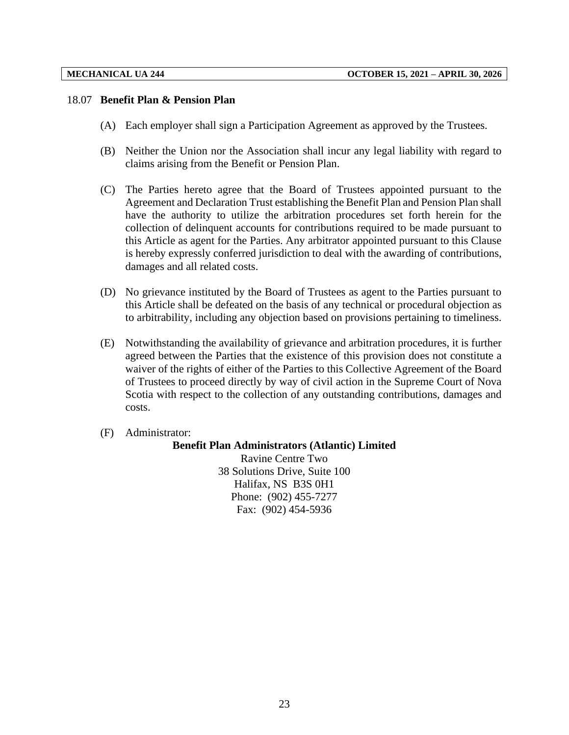#### 18.07 **Benefit Plan & Pension Plan**

- (A) Each employer shall sign a Participation Agreement as approved by the Trustees.
- (B) Neither the Union nor the Association shall incur any legal liability with regard to claims arising from the Benefit or Pension Plan.
- (C) The Parties hereto agree that the Board of Trustees appointed pursuant to the Agreement and Declaration Trust establishing the Benefit Plan and Pension Plan shall have the authority to utilize the arbitration procedures set forth herein for the collection of delinquent accounts for contributions required to be made pursuant to this Article as agent for the Parties. Any arbitrator appointed pursuant to this Clause is hereby expressly conferred jurisdiction to deal with the awarding of contributions, damages and all related costs.
- (D) No grievance instituted by the Board of Trustees as agent to the Parties pursuant to this Article shall be defeated on the basis of any technical or procedural objection as to arbitrability, including any objection based on provisions pertaining to timeliness.
- (E) Notwithstanding the availability of grievance and arbitration procedures, it is further agreed between the Parties that the existence of this provision does not constitute a waiver of the rights of either of the Parties to this Collective Agreement of the Board of Trustees to proceed directly by way of civil action in the Supreme Court of Nova Scotia with respect to the collection of any outstanding contributions, damages and costs.
- (F) Administrator:

#### **Benefit Plan Administrators (Atlantic) Limited**

Ravine Centre Two 38 Solutions Drive, Suite 100 Halifax, NS B3S 0H1 Phone: (902) 455-7277 Fax: (902) 454-5936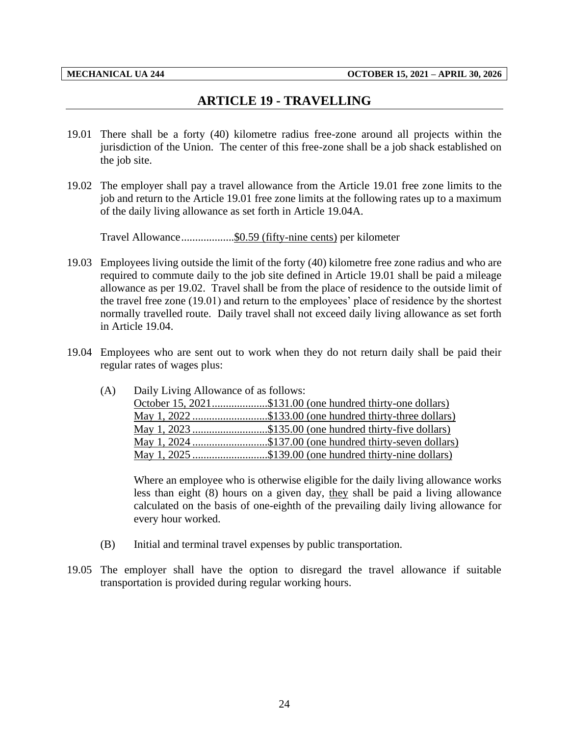## **ARTICLE 19 - TRAVELLING**

- <span id="page-26-0"></span>19.01 There shall be a forty (40) kilometre radius free-zone around all projects within the jurisdiction of the Union. The center of this free-zone shall be a job shack established on the job site.
- 19.02 The employer shall pay a travel allowance from the Article 19.01 free zone limits to the job and return to the Article 19.01 free zone limits at the following rates up to a maximum of the daily living allowance as set forth in Article 19.04A.

Travel Allowance...................\$0.59 (fifty-nine cents) per kilometer

- 19.03 Employees living outside the limit of the forty (40) kilometre free zone radius and who are required to commute daily to the job site defined in Article 19.01 shall be paid a mileage allowance as per 19.02. Travel shall be from the place of residence to the outside limit of the travel free zone (19.01) and return to the employees' place of residence by the shortest normally travelled route. Daily travel shall not exceed daily living allowance as set forth in Article 19.04.
- 19.04 Employees who are sent out to work when they do not return daily shall be paid their regular rates of wages plus:

| (A) | Daily Living Allowance of as follows: |                                                           |
|-----|---------------------------------------|-----------------------------------------------------------|
|     |                                       | October 15, 2021\$131.00 (one hundred thirty-one dollars) |
|     |                                       | May 1, 2022 \$133.00 (one hundred thirty-three dollars)   |
|     |                                       | May 1, 2023 \$135.00 (one hundred thirty-five dollars)    |
|     |                                       | May 1, 2024 \$137.00 (one hundred thirty-seven dollars)   |
|     |                                       | May 1, 2025 \$139.00 (one hundred thirty-nine dollars)    |

Where an employee who is otherwise eligible for the daily living allowance works less than eight (8) hours on a given day, they shall be paid a living allowance calculated on the basis of one-eighth of the prevailing daily living allowance for every hour worked.

- (B) Initial and terminal travel expenses by public transportation.
- 19.05 The employer shall have the option to disregard the travel allowance if suitable transportation is provided during regular working hours.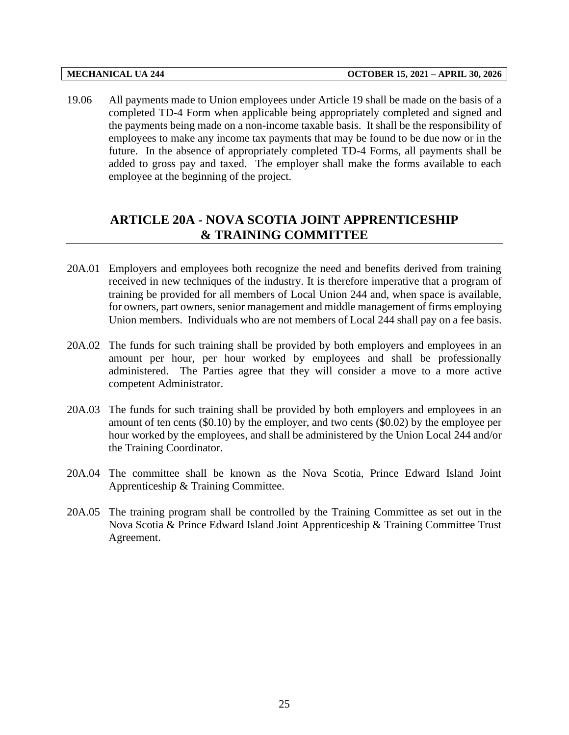19.06 All payments made to Union employees under Article 19 shall be made on the basis of a completed TD-4 Form when applicable being appropriately completed and signed and the payments being made on a non-income taxable basis. It shall be the responsibility of employees to make any income tax payments that may be found to be due now or in the future. In the absence of appropriately completed TD-4 Forms, all payments shall be added to gross pay and taxed. The employer shall make the forms available to each employee at the beginning of the project.

## <span id="page-27-0"></span>**ARTICLE 20A - NOVA SCOTIA JOINT APPRENTICESHIP & TRAINING COMMITTEE**

- 20A.01 Employers and employees both recognize the need and benefits derived from training received in new techniques of the industry. It is therefore imperative that a program of training be provided for all members of Local Union 244 and, when space is available, for owners, part owners, senior management and middle management of firms employing Union members. Individuals who are not members of Local 244 shall pay on a fee basis.
- 20A.02 The funds for such training shall be provided by both employers and employees in an amount per hour, per hour worked by employees and shall be professionally administered. The Parties agree that they will consider a move to a more active competent Administrator.
- 20A.03 The funds for such training shall be provided by both employers and employees in an amount of ten cents (\$0.10) by the employer, and two cents (\$0.02) by the employee per hour worked by the employees, and shall be administered by the Union Local 244 and/or the Training Coordinator.
- 20A.04 The committee shall be known as the Nova Scotia, Prince Edward Island Joint Apprenticeship & Training Committee.
- 20A.05 The training program shall be controlled by the Training Committee as set out in the Nova Scotia & Prince Edward Island Joint Apprenticeship & Training Committee Trust Agreement.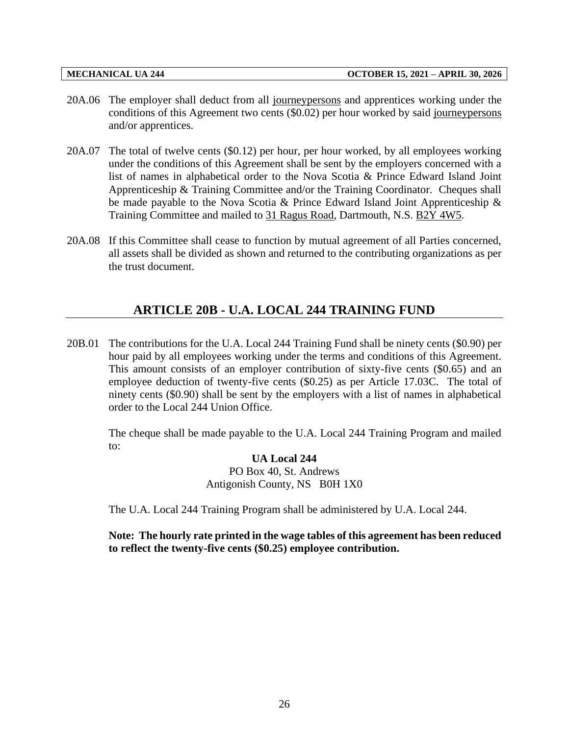- 20A.06 The employer shall deduct from all journeypersons and apprentices working under the conditions of this Agreement two cents (\$0.02) per hour worked by said journeypersons and/or apprentices.
- 20A.07 The total of twelve cents (\$0.12) per hour, per hour worked, by all employees working under the conditions of this Agreement shall be sent by the employers concerned with a list of names in alphabetical order to the Nova Scotia & Prince Edward Island Joint Apprenticeship & Training Committee and/or the Training Coordinator. Cheques shall be made payable to the Nova Scotia & Prince Edward Island Joint Apprenticeship & Training Committee and mailed to 31 Ragus Road, Dartmouth, N.S. B2Y 4W5.
- <span id="page-28-0"></span>20A.08 If this Committee shall cease to function by mutual agreement of all Parties concerned, all assets shall be divided as shown and returned to the contributing organizations as per the trust document.

## **ARTICLE 20B - U.A. LOCAL 244 TRAINING FUND**

20B.01 The contributions for the U.A. Local 244 Training Fund shall be ninety cents (\$0.90) per hour paid by all employees working under the terms and conditions of this Agreement. This amount consists of an employer contribution of sixty-five cents (\$0.65) and an employee deduction of twenty-five cents (\$0.25) as per Article 17.03C. The total of ninety cents (\$0.90) shall be sent by the employers with a list of names in alphabetical order to the Local 244 Union Office.

The cheque shall be made payable to the U.A. Local 244 Training Program and mailed to:

> **UA Local 244** PO Box 40, St. Andrews Antigonish County, NS B0H 1X0

The U.A. Local 244 Training Program shall be administered by U.A. Local 244.

**Note: The hourly rate printed in the wage tables of this agreement has been reduced to reflect the twenty-five cents (\$0.25) employee contribution.**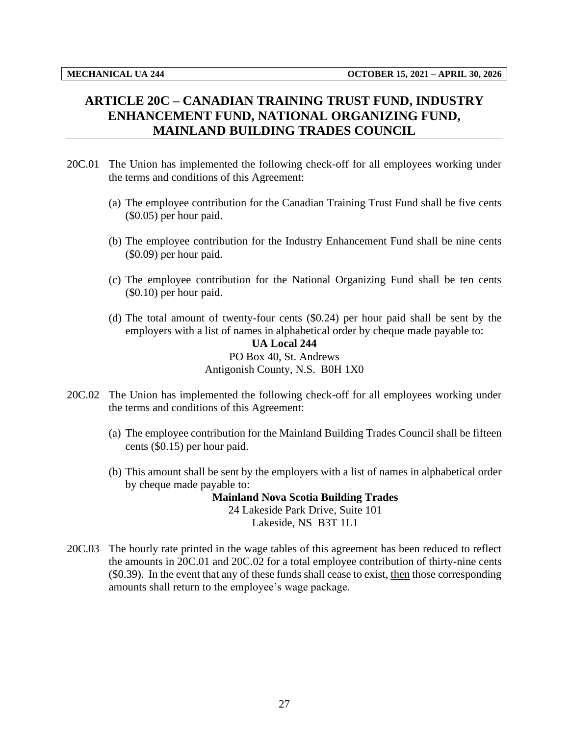# <span id="page-29-0"></span>**ARTICLE 20C – CANADIAN TRAINING TRUST FUND, INDUSTRY ENHANCEMENT FUND, NATIONAL ORGANIZING FUND, MAINLAND BUILDING TRADES COUNCIL**

- 20C.01 The Union has implemented the following check-off for all employees working under the terms and conditions of this Agreement:
	- (a) The employee contribution for the Canadian Training Trust Fund shall be five cents (\$0.05) per hour paid.
	- (b) The employee contribution for the Industry Enhancement Fund shall be nine cents (\$0.09) per hour paid.
	- (c) The employee contribution for the National Organizing Fund shall be ten cents (\$0.10) per hour paid.
	- (d) The total amount of twenty-four cents (\$0.24) per hour paid shall be sent by the employers with a list of names in alphabetical order by cheque made payable to:

### **UA Local 244** PO Box 40, St. Andrews Antigonish County, N.S. B0H 1X0

- 20C.02 The Union has implemented the following check-off for all employees working under the terms and conditions of this Agreement:
	- (a) The employee contribution for the Mainland Building Trades Council shall be fifteen cents (\$0.15) per hour paid.
	- (b) This amount shall be sent by the employers with a list of names in alphabetical order by cheque made payable to:

**Mainland Nova Scotia Building Trades** 24 Lakeside Park Drive, Suite 101 Lakeside, NS B3T 1L1

20C.03 The hourly rate printed in the wage tables of this agreement has been reduced to reflect the amounts in 20C.01 and 20C.02 for a total employee contribution of thirty-nine cents (\$0.39). In the event that any of these funds shall cease to exist, then those corresponding amounts shall return to the employee's wage package.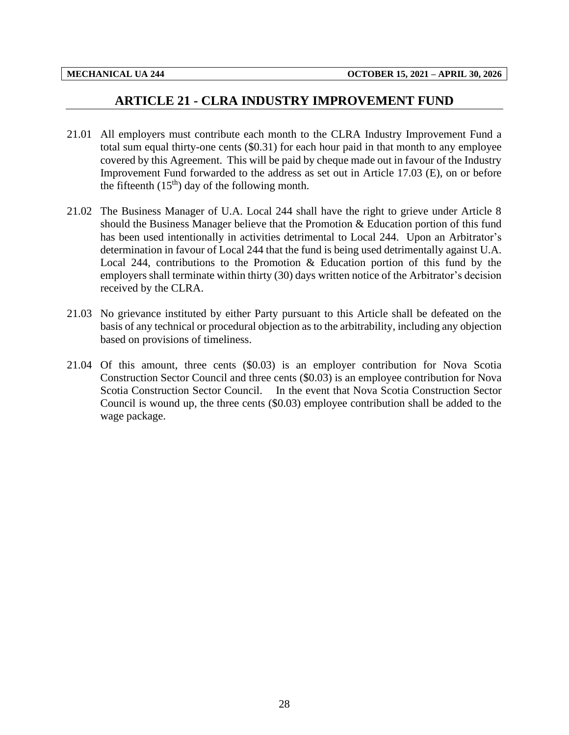## **ARTICLE 21 - CLRA INDUSTRY IMPROVEMENT FUND**

- <span id="page-30-0"></span>21.01 All employers must contribute each month to the CLRA Industry Improvement Fund a total sum equal thirty-one cents (\$0.31) for each hour paid in that month to any employee covered by this Agreement. This will be paid by cheque made out in favour of the Industry Improvement Fund forwarded to the address as set out in Article 17.03 (E), on or before the fifteenth  $(15<sup>th</sup>)$  day of the following month.
- 21.02 The Business Manager of U.A. Local 244 shall have the right to grieve under Article 8 should the Business Manager believe that the Promotion & Education portion of this fund has been used intentionally in activities detrimental to Local 244. Upon an Arbitrator's determination in favour of Local 244 that the fund is being used detrimentally against U.A. Local 244, contributions to the Promotion  $\&$  Education portion of this fund by the employers shall terminate within thirty (30) days written notice of the Arbitrator's decision received by the CLRA.
- 21.03 No grievance instituted by either Party pursuant to this Article shall be defeated on the basis of any technical or procedural objection as to the arbitrability, including any objection based on provisions of timeliness.
- 21.04 Of this amount, three cents (\$0.03) is an employer contribution for Nova Scotia Construction Sector Council and three cents (\$0.03) is an employee contribution for Nova Scotia Construction Sector Council. In the event that Nova Scotia Construction Sector Council is wound up, the three cents (\$0.03) employee contribution shall be added to the wage package.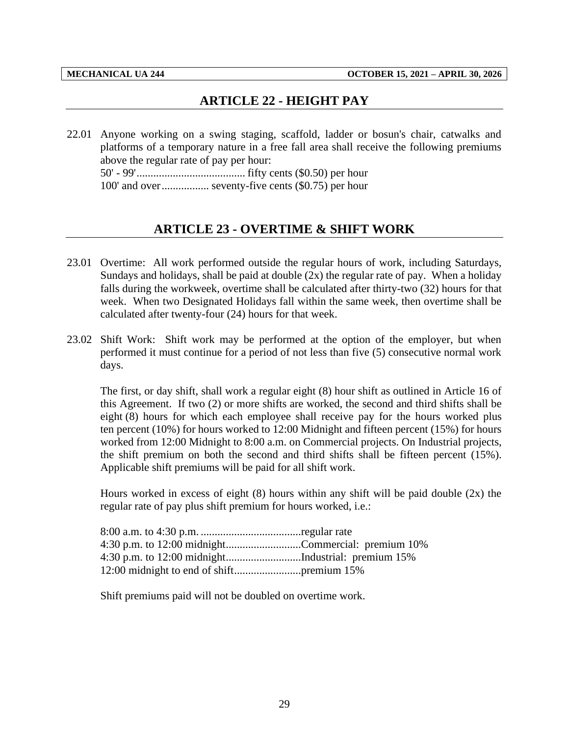# **ARTICLE 22 - HEIGHT PAY**

<span id="page-31-0"></span>22.01 Anyone working on a swing staging, scaffold, ladder or bosun's chair, catwalks and platforms of a temporary nature in a free fall area shall receive the following premiums above the regular rate of pay per hour: 50' - 99'....................................... fifty cents (\$0.50) per hour 100' and over................. seventy-five cents (\$0.75) per hour

# **ARTICLE 23 - OVERTIME & SHIFT WORK**

- <span id="page-31-1"></span>23.01 Overtime: All work performed outside the regular hours of work, including Saturdays, Sundays and holidays, shall be paid at double  $(2x)$  the regular rate of pay. When a holiday falls during the workweek, overtime shall be calculated after thirty-two (32) hours for that week. When two Designated Holidays fall within the same week, then overtime shall be calculated after twenty-four (24) hours for that week.
- 23.02 Shift Work: Shift work may be performed at the option of the employer, but when performed it must continue for a period of not less than five (5) consecutive normal work days.

The first, or day shift, shall work a regular eight (8) hour shift as outlined in Article 16 of this Agreement. If two (2) or more shifts are worked, the second and third shifts shall be eight (8) hours for which each employee shall receive pay for the hours worked plus ten percent (10%) for hours worked to 12:00 Midnight and fifteen percent (15%) for hours worked from 12:00 Midnight to 8:00 a.m. on Commercial projects. On Industrial projects, the shift premium on both the second and third shifts shall be fifteen percent (15%). Applicable shift premiums will be paid for all shift work.

Hours worked in excess of eight (8) hours within any shift will be paid double (2x) the regular rate of pay plus shift premium for hours worked, i.e.:

| 4:30 p.m. to 12:00 midnightCommercial: premium 10% |  |
|----------------------------------------------------|--|
|                                                    |  |
|                                                    |  |

Shift premiums paid will not be doubled on overtime work.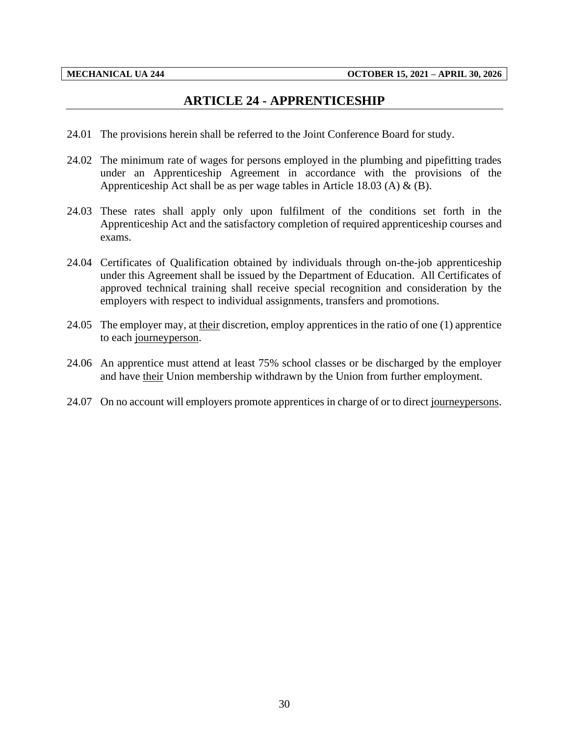## **ARTICLE 24 - APPRENTICESHIP**

- <span id="page-32-0"></span>24.01 The provisions herein shall be referred to the Joint Conference Board for study.
- 24.02 The minimum rate of wages for persons employed in the plumbing and pipefitting trades under an Apprenticeship Agreement in accordance with the provisions of the Apprenticeship Act shall be as per wage tables in Article 18.03 (A)  $\&$  (B).
- 24.03 These rates shall apply only upon fulfilment of the conditions set forth in the Apprenticeship Act and the satisfactory completion of required apprenticeship courses and exams.
- 24.04 Certificates of Qualification obtained by individuals through on-the-job apprenticeship under this Agreement shall be issued by the Department of Education. All Certificates of approved technical training shall receive special recognition and consideration by the employers with respect to individual assignments, transfers and promotions.
- 24.05 The employer may, at their discretion, employ apprentices in the ratio of one (1) apprentice to each journeyperson.
- 24.06 An apprentice must attend at least 75% school classes or be discharged by the employer and have their Union membership withdrawn by the Union from further employment.
- 24.07 On no account will employers promote apprentices in charge of or to direct journeypersons.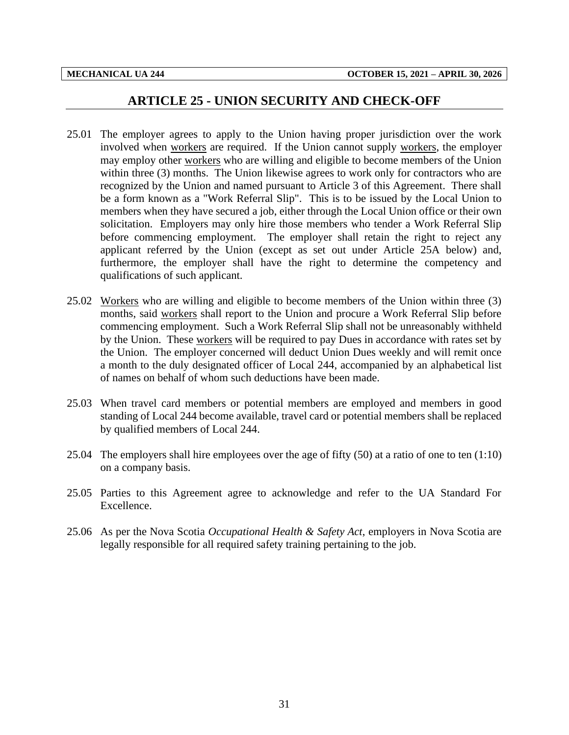### **ARTICLE 25 - UNION SECURITY AND CHECK-OFF**

- <span id="page-33-0"></span>25.01 The employer agrees to apply to the Union having proper jurisdiction over the work involved when workers are required. If the Union cannot supply workers, the employer may employ other workers who are willing and eligible to become members of the Union within three (3) months. The Union likewise agrees to work only for contractors who are recognized by the Union and named pursuant to Article 3 of this Agreement. There shall be a form known as a "Work Referral Slip". This is to be issued by the Local Union to members when they have secured a job, either through the Local Union office or their own solicitation. Employers may only hire those members who tender a Work Referral Slip before commencing employment. The employer shall retain the right to reject any applicant referred by the Union (except as set out under Article 25A below) and, furthermore, the employer shall have the right to determine the competency and qualifications of such applicant.
- 25.02 Workers who are willing and eligible to become members of the Union within three (3) months, said workers shall report to the Union and procure a Work Referral Slip before commencing employment. Such a Work Referral Slip shall not be unreasonably withheld by the Union. These workers will be required to pay Dues in accordance with rates set by the Union. The employer concerned will deduct Union Dues weekly and will remit once a month to the duly designated officer of Local 244, accompanied by an alphabetical list of names on behalf of whom such deductions have been made.
- 25.03 When travel card members or potential members are employed and members in good standing of Local 244 become available, travel card or potential members shall be replaced by qualified members of Local 244.
- 25.04 The employers shall hire employees over the age of fifty (50) at a ratio of one to ten (1:10) on a company basis.
- 25.05 Parties to this Agreement agree to acknowledge and refer to the UA Standard For Excellence.
- 25.06 As per the Nova Scotia *Occupational Health & Safety Act*, employers in Nova Scotia are legally responsible for all required safety training pertaining to the job.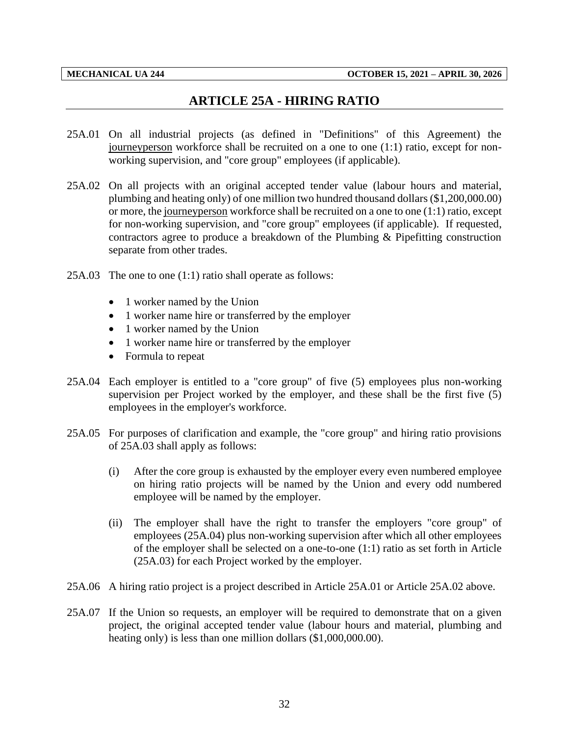# **ARTICLE 25A - HIRING RATIO**

- <span id="page-34-0"></span>25A.01 On all industrial projects (as defined in "Definitions" of this Agreement) the journeyperson workforce shall be recruited on a one to one (1:1) ratio, except for nonworking supervision, and "core group" employees (if applicable).
- 25A.02 On all projects with an original accepted tender value (labour hours and material, plumbing and heating only) of one million two hundred thousand dollars (\$1,200,000.00) or more, the journeyperson workforce shall be recruited on a one to one (1:1) ratio, except for non-working supervision, and "core group" employees (if applicable). If requested, contractors agree to produce a breakdown of the Plumbing & Pipefitting construction separate from other trades.
- 25A.03 The one to one (1:1) ratio shall operate as follows:
	- 1 worker named by the Union
	- 1 worker name hire or transferred by the employer
	- 1 worker named by the Union
	- 1 worker name hire or transferred by the employer
	- Formula to repeat
- 25A.04 Each employer is entitled to a "core group" of five (5) employees plus non-working supervision per Project worked by the employer, and these shall be the first five (5) employees in the employer's workforce.
- 25A.05 For purposes of clarification and example, the "core group" and hiring ratio provisions of 25A.03 shall apply as follows:
	- (i) After the core group is exhausted by the employer every even numbered employee on hiring ratio projects will be named by the Union and every odd numbered employee will be named by the employer.
	- (ii) The employer shall have the right to transfer the employers "core group" of employees (25A.04) plus non-working supervision after which all other employees of the employer shall be selected on a one-to-one (1:1) ratio as set forth in Article (25A.03) for each Project worked by the employer.
- 25A.06 A hiring ratio project is a project described in Article 25A.01 or Article 25A.02 above.
- 25A.07 If the Union so requests, an employer will be required to demonstrate that on a given project, the original accepted tender value (labour hours and material, plumbing and heating only) is less than one million dollars (\$1,000,000.00).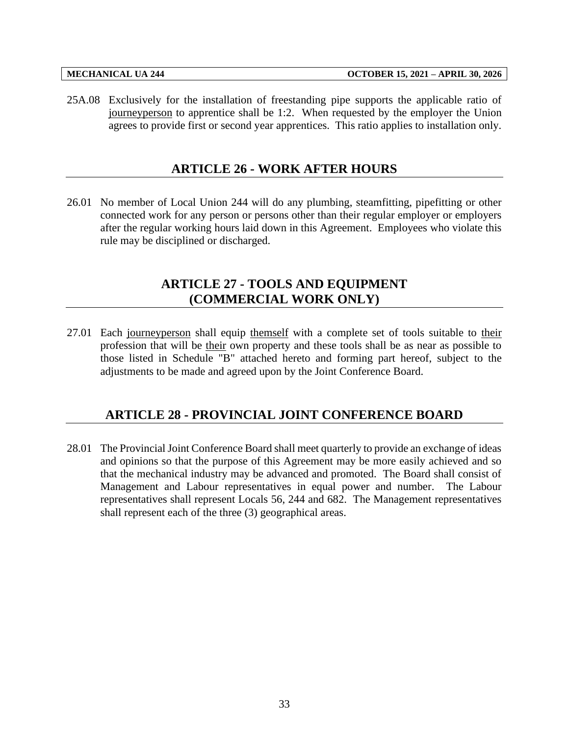<span id="page-35-0"></span>25A.08 Exclusively for the installation of freestanding pipe supports the applicable ratio of journeyperson to apprentice shall be 1:2. When requested by the employer the Union agrees to provide first or second year apprentices. This ratio applies to installation only.

## **ARTICLE 26 - WORK AFTER HOURS**

<span id="page-35-1"></span>26.01 No member of Local Union 244 will do any plumbing, steamfitting, pipefitting or other connected work for any person or persons other than their regular employer or employers after the regular working hours laid down in this Agreement. Employees who violate this rule may be disciplined or discharged.

# **ARTICLE 27 - TOOLS AND EQUIPMENT (COMMERCIAL WORK ONLY)**

27.01 Each journeyperson shall equip themself with a complete set of tools suitable to their profession that will be their own property and these tools shall be as near as possible to those listed in Schedule "B" attached hereto and forming part hereof, subject to the adjustments to be made and agreed upon by the Joint Conference Board.

# <span id="page-35-2"></span>**ARTICLE 28 - PROVINCIAL JOINT CONFERENCE BOARD**

28.01 The Provincial Joint Conference Board shall meet quarterly to provide an exchange of ideas and opinions so that the purpose of this Agreement may be more easily achieved and so that the mechanical industry may be advanced and promoted. The Board shall consist of Management and Labour representatives in equal power and number. The Labour representatives shall represent Locals 56, 244 and 682. The Management representatives shall represent each of the three (3) geographical areas.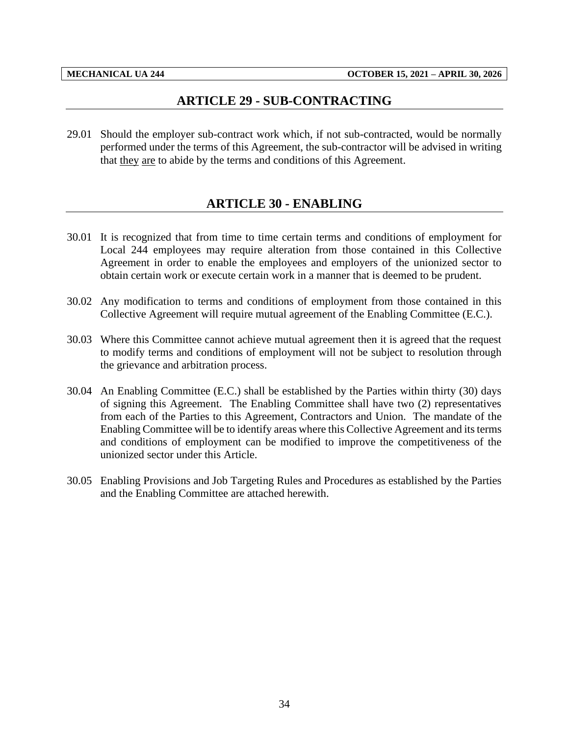## **ARTICLE 29 - SUB-CONTRACTING**

<span id="page-36-1"></span><span id="page-36-0"></span>29.01 Should the employer sub-contract work which, if not sub-contracted, would be normally performed under the terms of this Agreement, the sub-contractor will be advised in writing that they are to abide by the terms and conditions of this Agreement.

## **ARTICLE 30 - ENABLING**

- 30.01 It is recognized that from time to time certain terms and conditions of employment for Local 244 employees may require alteration from those contained in this Collective Agreement in order to enable the employees and employers of the unionized sector to obtain certain work or execute certain work in a manner that is deemed to be prudent.
- 30.02 Any modification to terms and conditions of employment from those contained in this Collective Agreement will require mutual agreement of the Enabling Committee (E.C.).
- 30.03 Where this Committee cannot achieve mutual agreement then it is agreed that the request to modify terms and conditions of employment will not be subject to resolution through the grievance and arbitration process.
- 30.04 An Enabling Committee (E.C.) shall be established by the Parties within thirty (30) days of signing this Agreement. The Enabling Committee shall have two (2) representatives from each of the Parties to this Agreement, Contractors and Union. The mandate of the Enabling Committee will be to identify areas where this Collective Agreement and its terms and conditions of employment can be modified to improve the competitiveness of the unionized sector under this Article.
- 30.05 Enabling Provisions and Job Targeting Rules and Procedures as established by the Parties and the Enabling Committee are attached herewith.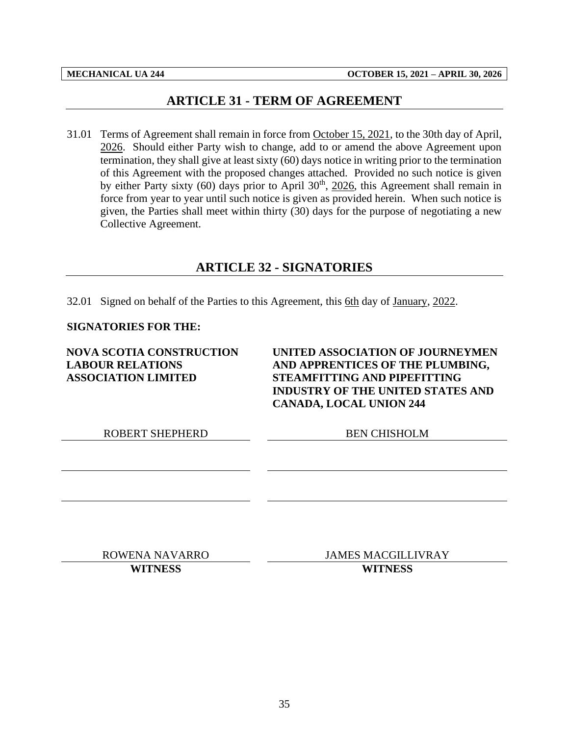## **ARTICLE 31 - TERM OF AGREEMENT**

<span id="page-37-0"></span>31.01 Terms of Agreement shall remain in force from October 15, 2021, to the 30th day of April, 2026. Should either Party wish to change, add to or amend the above Agreement upon termination, they shall give at least sixty (60) days notice in writing prior to the termination of this Agreement with the proposed changes attached. Provided no such notice is given by either Party sixty  $(60)$  days prior to April  $30<sup>th</sup>$ ,  $2026$ , this Agreement shall remain in force from year to year until such notice is given as provided herein. When such notice is given, the Parties shall meet within thirty (30) days for the purpose of negotiating a new Collective Agreement.

## **ARTICLE 32 - SIGNATORIES**

<span id="page-37-1"></span>32.01 Signed on behalf of the Parties to this Agreement, this 6th day of January, 2022.

#### **SIGNATORIES FOR THE:**

**NOVA SCOTIA CONSTRUCTION LABOUR RELATIONS ASSOCIATION LIMITED**

**UNITED ASSOCIATION OF JOURNEYMEN AND APPRENTICES OF THE PLUMBING, STEAMFITTING AND PIPEFITTING INDUSTRY OF THE UNITED STATES AND CANADA, LOCAL UNION 244**

ROBERT SHEPHERD BEN CHISHOLM

ROWENA NAVARRO JAMES MACGILLIVRAY **WITNESS WITNESS**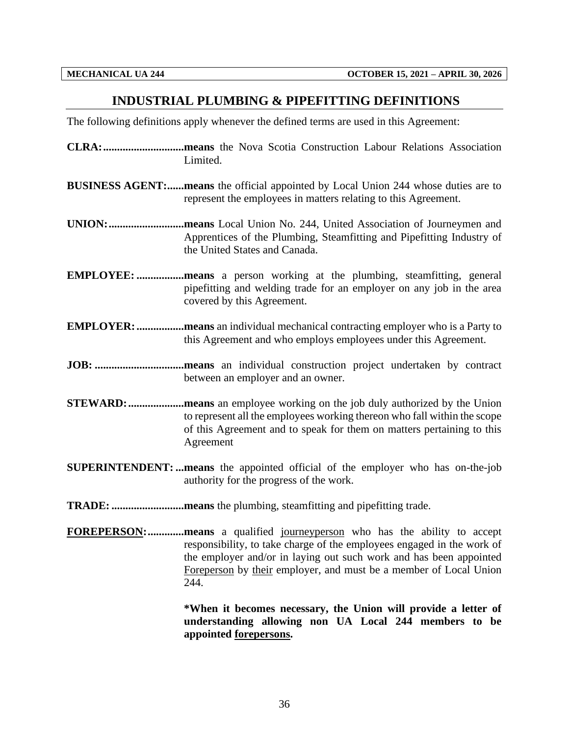### <span id="page-38-0"></span>**INDUSTRIAL PLUMBING & PIPEFITTING DEFINITIONS**

The following definitions apply whenever the defined terms are used in this Agreement:

- **CLRA:.............................means** the Nova Scotia Construction Labour Relations Association Limited.
- **BUSINESS AGENT:......means** the official appointed by Local Union 244 whose duties are to represent the employees in matters relating to this Agreement.
- **UNION:...........................means** Local Union No. 244, United Association of Journeymen and Apprentices of the Plumbing, Steamfitting and Pipefitting Industry of the United States and Canada.
- **EMPLOYEE: .................means** a person working at the plumbing, steamfitting, general pipefitting and welding trade for an employer on any job in the area covered by this Agreement.
- **EMPLOYER:.................means** an individual mechanical contracting employer who is a Party to this Agreement and who employs employees under this Agreement.
- **JOB: ................................means** an individual construction project undertaken by contract between an employer and an owner.
- **STEWARD:....................means** an employee working on the job duly authorized by the Union to represent all the employees working thereon who fall within the scope of this Agreement and to speak for them on matters pertaining to this Agreement
- **SUPERINTENDENT: ...means** the appointed official of the employer who has on-the-job authority for the progress of the work.
- **TRADE: ..........................means** the plumbing, steamfitting and pipefitting trade.
- **FOREPERSON:.............means** a qualified journeyperson who has the ability to accept responsibility, to take charge of the employees engaged in the work of the employer and/or in laying out such work and has been appointed Foreperson by their employer, and must be a member of Local Union 244.

**\*When it becomes necessary, the Union will provide a letter of understanding allowing non UA Local 244 members to be appointed forepersons.**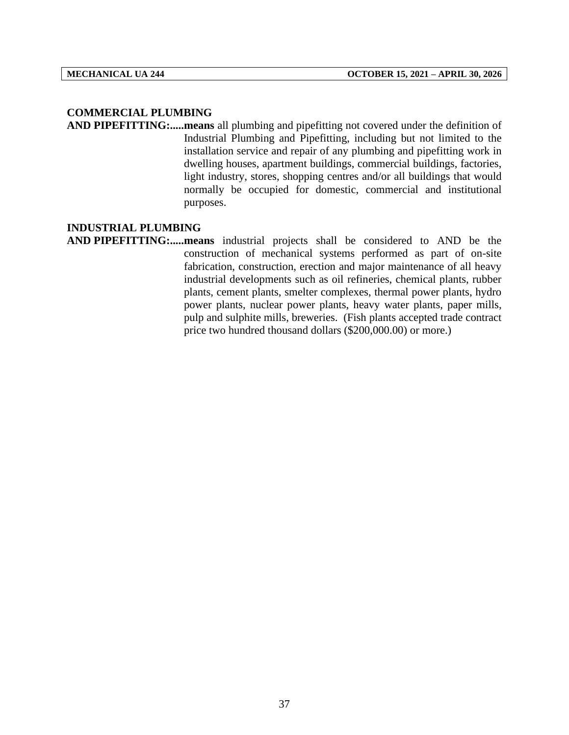#### **COMMERCIAL PLUMBING**

**AND PIPEFITTING:.....means** all plumbing and pipefitting not covered under the definition of Industrial Plumbing and Pipefitting, including but not limited to the installation service and repair of any plumbing and pipefitting work in dwelling houses, apartment buildings, commercial buildings, factories, light industry, stores, shopping centres and/or all buildings that would normally be occupied for domestic, commercial and institutional purposes.

#### **INDUSTRIAL PLUMBING**

**AND PIPEFITTING:.....means** industrial projects shall be considered to AND be the construction of mechanical systems performed as part of on-site fabrication, construction, erection and major maintenance of all heavy industrial developments such as oil refineries, chemical plants, rubber plants, cement plants, smelter complexes, thermal power plants, hydro power plants, nuclear power plants, heavy water plants, paper mills, pulp and sulphite mills, breweries. (Fish plants accepted trade contract price two hundred thousand dollars (\$200,000.00) or more.)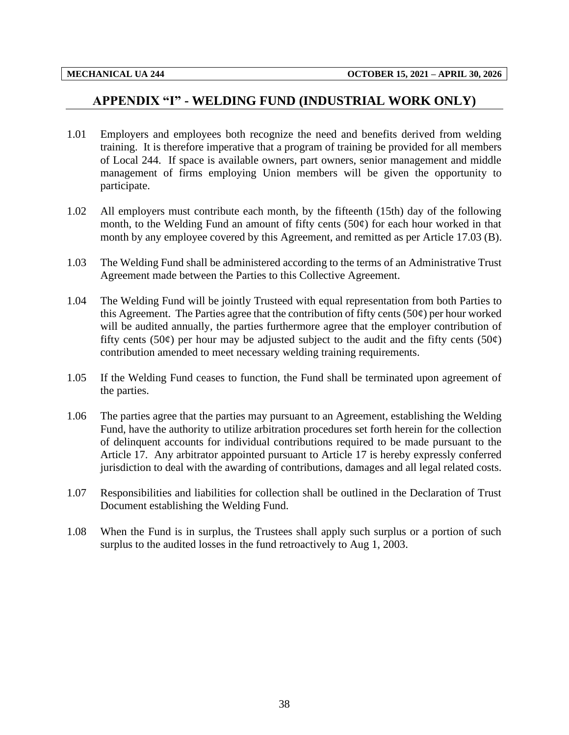### <span id="page-40-0"></span>**APPENDIX "I" - WELDING FUND (INDUSTRIAL WORK ONLY)**

- 1.01 Employers and employees both recognize the need and benefits derived from welding training. It is therefore imperative that a program of training be provided for all members of Local 244. If space is available owners, part owners, senior management and middle management of firms employing Union members will be given the opportunity to participate.
- 1.02 All employers must contribute each month, by the fifteenth (15th) day of the following month, to the Welding Fund an amount of fifty cents  $(50¢)$  for each hour worked in that month by any employee covered by this Agreement, and remitted as per Article 17.03 (B).
- 1.03 The Welding Fund shall be administered according to the terms of an Administrative Trust Agreement made between the Parties to this Collective Agreement.
- 1.04 The Welding Fund will be jointly Trusteed with equal representation from both Parties to this Agreement. The Parties agree that the contribution of fifty cents  $(50¢)$  per hour worked will be audited annually, the parties furthermore agree that the employer contribution of fifty cents (50 $\varphi$ ) per hour may be adjusted subject to the audit and the fifty cents (50 $\varphi$ ) contribution amended to meet necessary welding training requirements.
- 1.05 If the Welding Fund ceases to function, the Fund shall be terminated upon agreement of the parties.
- 1.06 The parties agree that the parties may pursuant to an Agreement, establishing the Welding Fund, have the authority to utilize arbitration procedures set forth herein for the collection of delinquent accounts for individual contributions required to be made pursuant to the Article 17. Any arbitrator appointed pursuant to Article 17 is hereby expressly conferred jurisdiction to deal with the awarding of contributions, damages and all legal related costs.
- 1.07 Responsibilities and liabilities for collection shall be outlined in the Declaration of Trust Document establishing the Welding Fund.
- 1.08 When the Fund is in surplus, the Trustees shall apply such surplus or a portion of such surplus to the audited losses in the fund retroactively to Aug 1, 2003.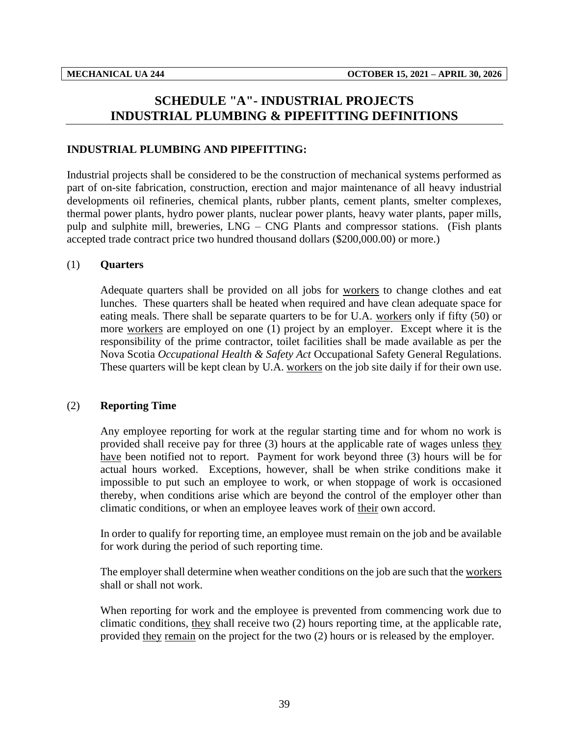# <span id="page-41-0"></span>**SCHEDULE "A"- INDUSTRIAL PROJECTS INDUSTRIAL PLUMBING & PIPEFITTING DEFINITIONS**

#### **INDUSTRIAL PLUMBING AND PIPEFITTING:**

Industrial projects shall be considered to be the construction of mechanical systems performed as part of on-site fabrication, construction, erection and major maintenance of all heavy industrial developments oil refineries, chemical plants, rubber plants, cement plants, smelter complexes, thermal power plants, hydro power plants, nuclear power plants, heavy water plants, paper mills, pulp and sulphite mill, breweries, LNG – CNG Plants and compressor stations. (Fish plants accepted trade contract price two hundred thousand dollars (\$200,000.00) or more.)

#### (1) **Quarters**

Adequate quarters shall be provided on all jobs for workers to change clothes and eat lunches. These quarters shall be heated when required and have clean adequate space for eating meals. There shall be separate quarters to be for U.A. workers only if fifty (50) or more workers are employed on one (1) project by an employer. Except where it is the responsibility of the prime contractor, toilet facilities shall be made available as per the Nova Scotia *Occupational Health & Safety Act* Occupational Safety General Regulations. These quarters will be kept clean by U.A. workers on the job site daily if for their own use.

#### (2) **Reporting Time**

Any employee reporting for work at the regular starting time and for whom no work is provided shall receive pay for three (3) hours at the applicable rate of wages unless they have been notified not to report. Payment for work beyond three (3) hours will be for actual hours worked. Exceptions, however, shall be when strike conditions make it impossible to put such an employee to work, or when stoppage of work is occasioned thereby, when conditions arise which are beyond the control of the employer other than climatic conditions, or when an employee leaves work of their own accord.

In order to qualify for reporting time, an employee must remain on the job and be available for work during the period of such reporting time.

The employer shall determine when weather conditions on the job are such that the workers shall or shall not work.

When reporting for work and the employee is prevented from commencing work due to climatic conditions, they shall receive two (2) hours reporting time, at the applicable rate, provided they remain on the project for the two (2) hours or is released by the employer.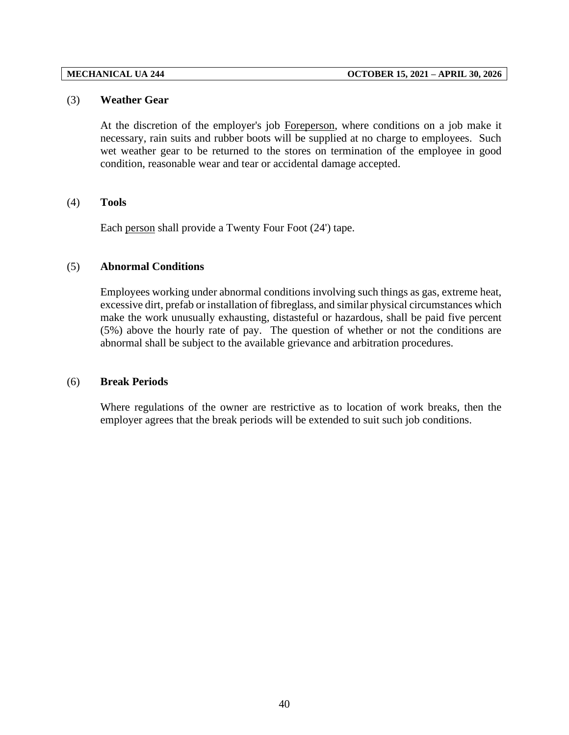#### (3) **Weather Gear**

At the discretion of the employer's job Foreperson, where conditions on a job make it necessary, rain suits and rubber boots will be supplied at no charge to employees. Such wet weather gear to be returned to the stores on termination of the employee in good condition, reasonable wear and tear or accidental damage accepted.

#### (4) **Tools**

Each person shall provide a Twenty Four Foot (24') tape.

#### (5) **Abnormal Conditions**

Employees working under abnormal conditions involving such things as gas, extreme heat, excessive dirt, prefab or installation of fibreglass, and similar physical circumstances which make the work unusually exhausting, distasteful or hazardous, shall be paid five percent (5%) above the hourly rate of pay. The question of whether or not the conditions are abnormal shall be subject to the available grievance and arbitration procedures.

#### (6) **Break Periods**

Where regulations of the owner are restrictive as to location of work breaks, then the employer agrees that the break periods will be extended to suit such job conditions.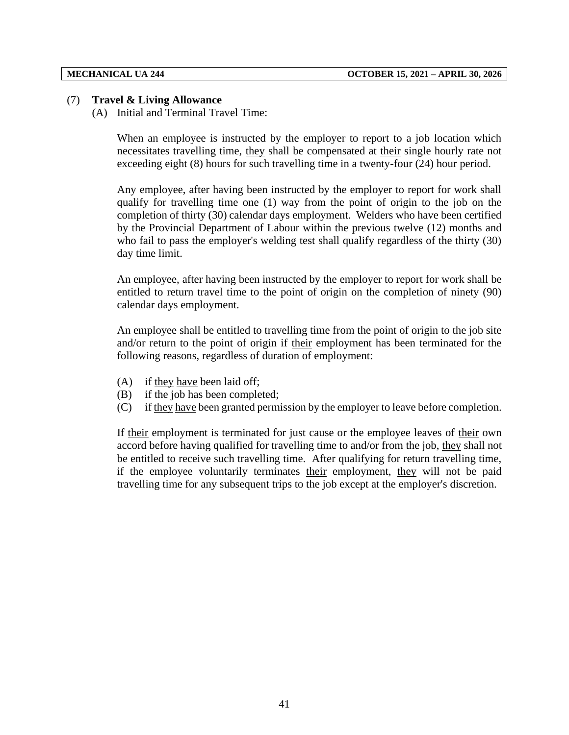#### (7) **Travel & Living Allowance**

(A) Initial and Terminal Travel Time:

When an employee is instructed by the employer to report to a job location which necessitates travelling time, they shall be compensated at their single hourly rate not exceeding eight (8) hours for such travelling time in a twenty-four (24) hour period.

Any employee, after having been instructed by the employer to report for work shall qualify for travelling time one (1) way from the point of origin to the job on the completion of thirty (30) calendar days employment. Welders who have been certified by the Provincial Department of Labour within the previous twelve (12) months and who fail to pass the employer's welding test shall qualify regardless of the thirty (30) day time limit.

An employee, after having been instructed by the employer to report for work shall be entitled to return travel time to the point of origin on the completion of ninety (90) calendar days employment.

An employee shall be entitled to travelling time from the point of origin to the job site and/or return to the point of origin if their employment has been terminated for the following reasons, regardless of duration of employment:

- (A) if they have been laid off;
- (B) if the job has been completed;
- (C) if they have been granted permission by the employer to leave before completion.

If their employment is terminated for just cause or the employee leaves of their own accord before having qualified for travelling time to and/or from the job, they shall not be entitled to receive such travelling time. After qualifying for return travelling time, if the employee voluntarily terminates their employment, they will not be paid travelling time for any subsequent trips to the job except at the employer's discretion.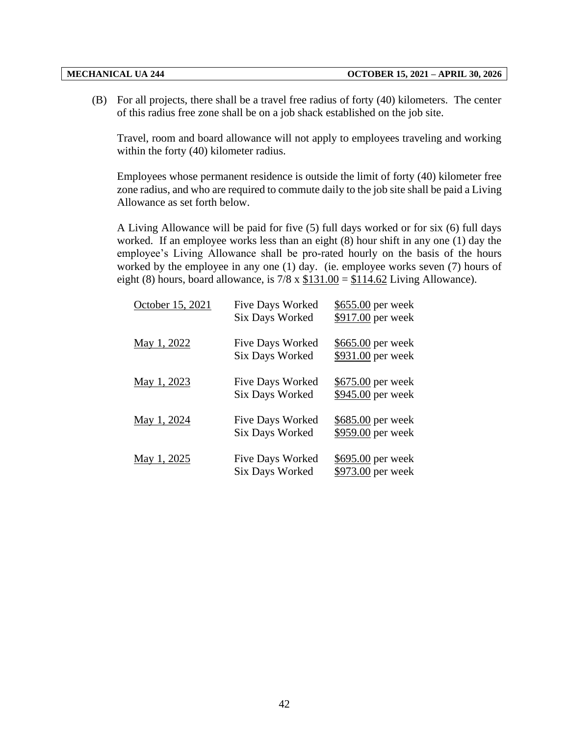(B) For all projects, there shall be a travel free radius of forty (40) kilometers. The center of this radius free zone shall be on a job shack established on the job site.

Travel, room and board allowance will not apply to employees traveling and working within the forty (40) kilometer radius.

Employees whose permanent residence is outside the limit of forty (40) kilometer free zone radius, and who are required to commute daily to the job site shall be paid a Living Allowance as set forth below.

A Living Allowance will be paid for five (5) full days worked or for six (6) full days worked. If an employee works less than an eight (8) hour shift in any one (1) day the employee's Living Allowance shall be pro-rated hourly on the basis of the hours worked by the employee in any one (1) day. (ie. employee works seven (7) hours of eight (8) hours, board allowance, is  $7/8 \times $131.00 = $114.62$  Living Allowance).

| October 15, 2021 | <b>Five Days Worked</b><br><b>Six Days Worked</b> | \$655.00 per week<br>\$917.00 per week |
|------------------|---------------------------------------------------|----------------------------------------|
| May 1, 2022      | Five Days Worked<br><b>Six Days Worked</b>        | \$665.00 per week<br>\$931.00 per week |
| May 1, 2023      | <b>Five Days Worked</b><br><b>Six Days Worked</b> | \$675.00 per week<br>\$945.00 per week |
| May 1, 2024      | <b>Five Days Worked</b><br><b>Six Days Worked</b> | \$685.00 per week<br>\$959.00 per week |
| May 1, 2025      | <b>Five Days Worked</b><br><b>Six Days Worked</b> | \$695.00 per week<br>\$973.00 per week |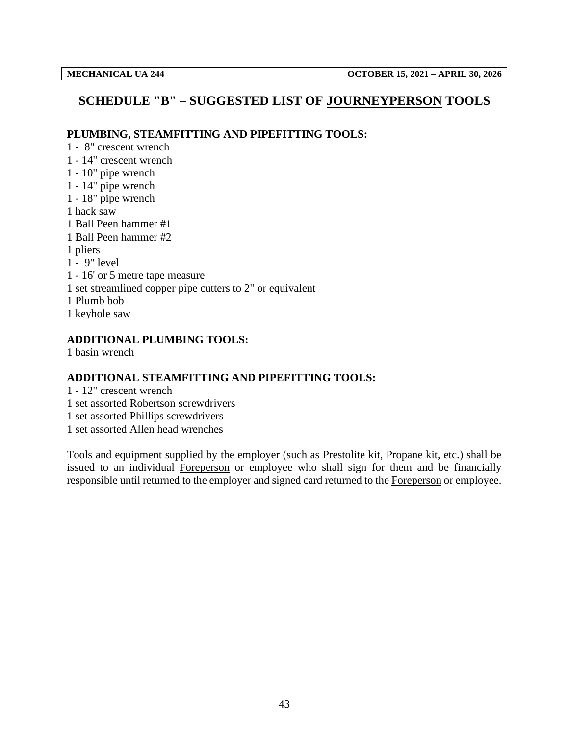## <span id="page-45-0"></span>**SCHEDULE "B" – SUGGESTED LIST OF JOURNEYPERSON TOOLS**

#### **PLUMBING, STEAMFITTING AND PIPEFITTING TOOLS:**

1 - 8" crescent wrench 1 - 14" crescent wrench 1 - 10" pipe wrench 1 - 14" pipe wrench 1 - 18" pipe wrench 1 hack saw 1 Ball Peen hammer #1 1 Ball Peen hammer #2 1 pliers 1 - 9" level 1 - 16' or 5 metre tape measure 1 set streamlined copper pipe cutters to 2" or equivalent 1 Plumb bob 1 keyhole saw

### **ADDITIONAL PLUMBING TOOLS:**

1 basin wrench

### **ADDITIONAL STEAMFITTING AND PIPEFITTING TOOLS:**

- 1 12" crescent wrench
- 1 set assorted Robertson screwdrivers
- 1 set assorted Phillips screwdrivers
- 1 set assorted Allen head wrenches

Tools and equipment supplied by the employer (such as Prestolite kit, Propane kit, etc.) shall be issued to an individual Foreperson or employee who shall sign for them and be financially responsible until returned to the employer and signed card returned to the Foreperson or employee.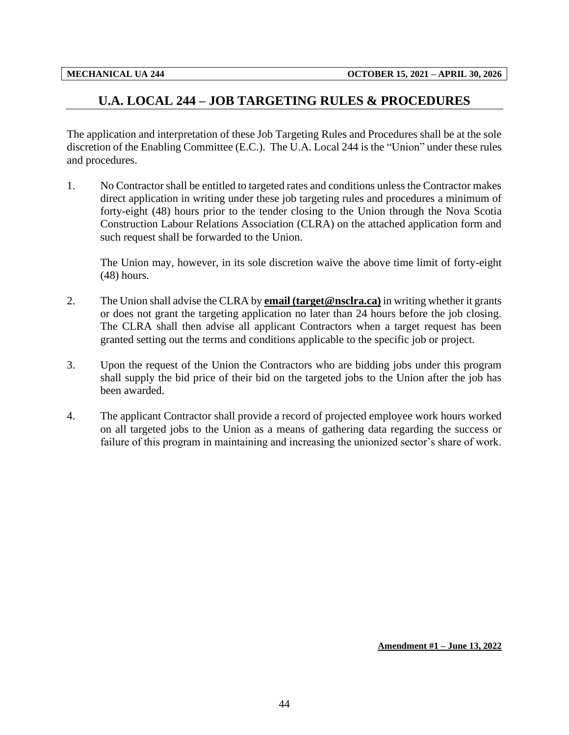## <span id="page-46-0"></span>**U.A. LOCAL 244 – JOB TARGETING RULES & PROCEDURES**

The application and interpretation of these Job Targeting Rules and Procedures shall be at the sole discretion of the Enabling Committee (E.C.). The U.A. Local 244 is the "Union" under these rules and procedures.

1. No Contractor shall be entitled to targeted rates and conditions unless the Contractor makes direct application in writing under these job targeting rules and procedures a minimum of forty-eight (48) hours prior to the tender closing to the Union through the Nova Scotia Construction Labour Relations Association (CLRA) on the attached application form and such request shall be forwarded to the Union.

The Union may, however, in its sole discretion waive the above time limit of forty-eight (48) hours.

- 2. The Union shall advise the CLRA by **email (target@nsclra.ca)** in writing whether it grants or does not grant the targeting application no later than 24 hours before the job closing. The CLRA shall then advise all applicant Contractors when a target request has been granted setting out the terms and conditions applicable to the specific job or project.
- 3. Upon the request of the Union the Contractors who are bidding jobs under this program shall supply the bid price of their bid on the targeted jobs to the Union after the job has been awarded.
- 4. The applicant Contractor shall provide a record of projected employee work hours worked on all targeted jobs to the Union as a means of gathering data regarding the success or failure of this program in maintaining and increasing the unionized sector's share of work.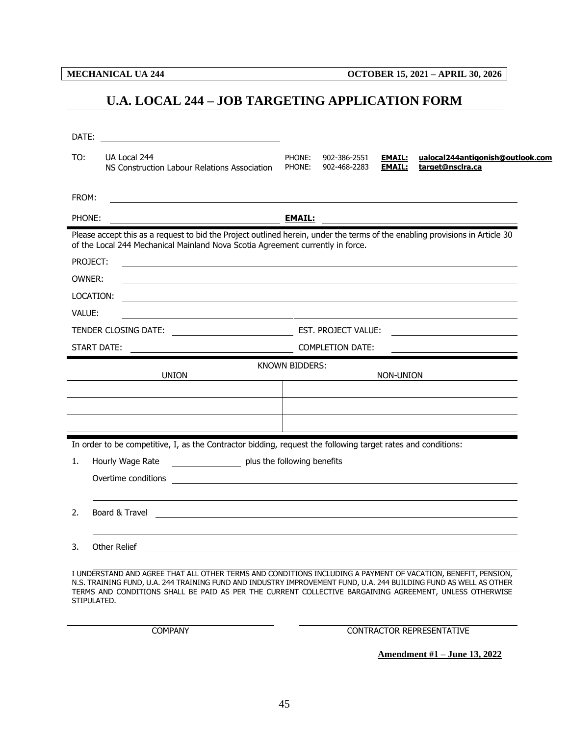<span id="page-47-0"></span>

**MECHANICAL UA 244 OCTOBER 15, 2021 – APRIL 30, 2026**

## **U.A. LOCAL 244 – JOB TARGETING APPLICATION FORM**

| DATE:                                              | <u> 1989 - Johann Stein, mars and de Brasilian (b. 1989)</u>                                                                                                                                                                |                  |                              |                                |                                                      |  |  |  |  |  |
|----------------------------------------------------|-----------------------------------------------------------------------------------------------------------------------------------------------------------------------------------------------------------------------------|------------------|------------------------------|--------------------------------|------------------------------------------------------|--|--|--|--|--|
| TO:                                                | UA Local 244<br>NS Construction Labour Relations Association                                                                                                                                                                | PHONE:<br>PHONE: | 902-386-2551<br>902-468-2283 | <b>EMAIL:</b><br><b>EMAIL:</b> | ualocal244antigonish@outlook.com<br>target@nsclra.ca |  |  |  |  |  |
| FROM:                                              |                                                                                                                                                                                                                             |                  |                              |                                |                                                      |  |  |  |  |  |
| PHONE:                                             |                                                                                                                                                                                                                             |                  |                              |                                |                                                      |  |  |  |  |  |
|                                                    | Please accept this as a request to bid the Project outlined herein, under the terms of the enabling provisions in Article 30<br>of the Local 244 Mechanical Mainland Nova Scotia Agreement currently in force.              |                  |                              |                                |                                                      |  |  |  |  |  |
|                                                    | PROJECT:                                                                                                                                                                                                                    |                  |                              |                                |                                                      |  |  |  |  |  |
| OWNER:                                             | and the control of the control of the control of the control of the control of the control of the control of the                                                                                                            |                  |                              |                                |                                                      |  |  |  |  |  |
|                                                    | LOCATION:                                                                                                                                                                                                                   |                  |                              |                                |                                                      |  |  |  |  |  |
| VALUE:                                             | <u> 1989 - Johann Barn, fransk politik (d. 1989)</u>                                                                                                                                                                        |                  |                              |                                |                                                      |  |  |  |  |  |
|                                                    |                                                                                                                                                                                                                             |                  |                              |                                |                                                      |  |  |  |  |  |
|                                                    | START DATE:                                                                                                                                                                                                                 |                  | <b>COMPLETION DATE:</b>      |                                |                                                      |  |  |  |  |  |
| <b>KNOWN BIDDERS:</b><br><b>UNION</b><br>NON-UNION |                                                                                                                                                                                                                             |                  |                              |                                |                                                      |  |  |  |  |  |
|                                                    |                                                                                                                                                                                                                             |                  |                              |                                |                                                      |  |  |  |  |  |
|                                                    |                                                                                                                                                                                                                             |                  |                              |                                |                                                      |  |  |  |  |  |
|                                                    | In order to be competitive, I, as the Contractor bidding, request the following target rates and conditions:                                                                                                                |                  |                              |                                |                                                      |  |  |  |  |  |
| 1.                                                 | plus the following benefits<br>Hourly Wage Rate                                                                                                                                                                             |                  |                              |                                |                                                      |  |  |  |  |  |
|                                                    | Overtime conditions                                                                                                                                                                                                         |                  |                              |                                |                                                      |  |  |  |  |  |
|                                                    |                                                                                                                                                                                                                             |                  |                              |                                |                                                      |  |  |  |  |  |
| 2.                                                 | Board & Travel                                                                                                                                                                                                              |                  |                              |                                |                                                      |  |  |  |  |  |
| 3.                                                 | <b>Other Relief</b>                                                                                                                                                                                                         |                  |                              |                                |                                                      |  |  |  |  |  |
|                                                    | I UNDERSTAND AND AGREE THAT ALL OTHER TERMS AND CONDITIONS INCLUDING A PAYMENT OF VACATION, BENEFIT, PENSION,<br>TRAINING FUND II A 244 TRAINING FUND AND INDUSTRY IMPROVEMENT FUND II A 244 RUILDING FUND AS WELL AS OTHER |                  |                              |                                |                                                      |  |  |  |  |  |

N.S. TRAINING FUND, U.A. 244 TRAINING FUND AND INDUSTRY IMPROVEMENT FUND, U.A. 244 BUILDING FUND AS WELL AS OTHER TERMS AND CONDITIONS SHALL BE PAID AS PER THE CURRENT COLLECTIVE BARGAINING AGREEMENT, UNLESS OTHERWISE STIPULATED.

COMPANY CONTRACTOR REPRESENTATIVE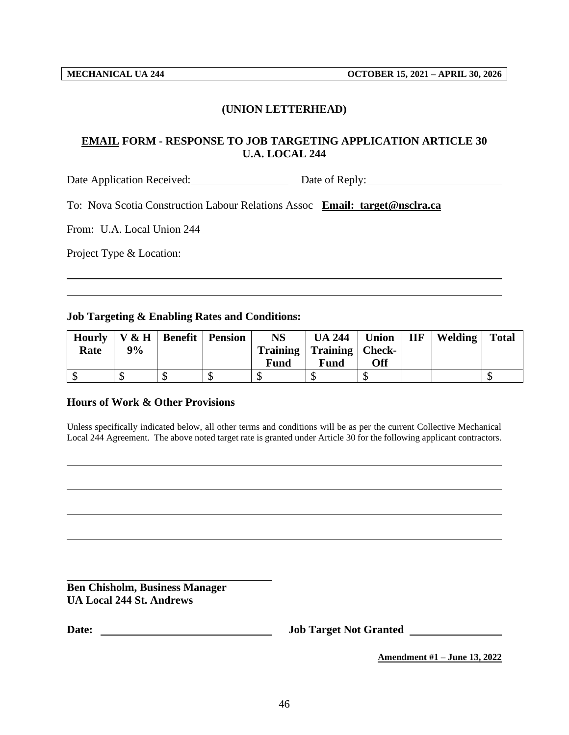### **(UNION LETTERHEAD)**

### **EMAIL FORM - RESPONSE TO JOB TARGETING APPLICATION ARTICLE 30 U.A. LOCAL 244**

Date Application Received: Date of Reply:

To: Nova Scotia Construction Labour Relations Assoc **Email: target@nsclra.ca**

From: U.A. Local Union 244

Project Type & Location:

#### **Job Targeting & Enabling Rates and Conditions:**

| <b>Hourly</b> |    | V & H   Benefit   Pension | NS   | $UA 244$ Union               |     | $IIF$   Welding | <b>Total</b> |
|---------------|----|---------------------------|------|------------------------------|-----|-----------------|--------------|
| Rate          | 9% |                           |      | Training   Training   Check- |     |                 |              |
|               |    |                           | Fund | Fund                         | Off |                 |              |
|               |    |                           |      | мD                           |     |                 |              |

#### **Hours of Work & Other Provisions**

Unless specifically indicated below, all other terms and conditions will be as per the current Collective Mechanical Local 244 Agreement. The above noted target rate is granted under Article 30 for the following applicant contractors.

**Ben Chisholm, Business Manager UA Local 244 St. Andrews**

**Date: Job Target Not Granted**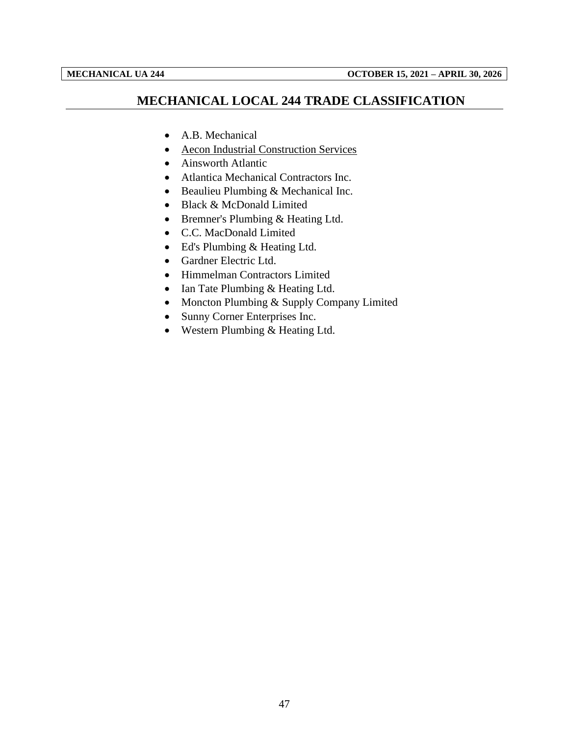## <span id="page-49-0"></span>**MECHANICAL LOCAL 244 TRADE CLASSIFICATION**

- A.B. Mechanical
- Aecon Industrial Construction Services
- Ainsworth Atlantic
- Atlantica Mechanical Contractors Inc.
- Beaulieu Plumbing & Mechanical Inc.
- Black & McDonald Limited
- Bremner's Plumbing & Heating Ltd.
- C.C. MacDonald Limited
- Ed's Plumbing & Heating Ltd.
- Gardner Electric Ltd.
- Himmelman Contractors Limited
- Ian Tate Plumbing & Heating Ltd.
- Moncton Plumbing & Supply Company Limited
- Sunny Corner Enterprises Inc.
- Western Plumbing & Heating Ltd.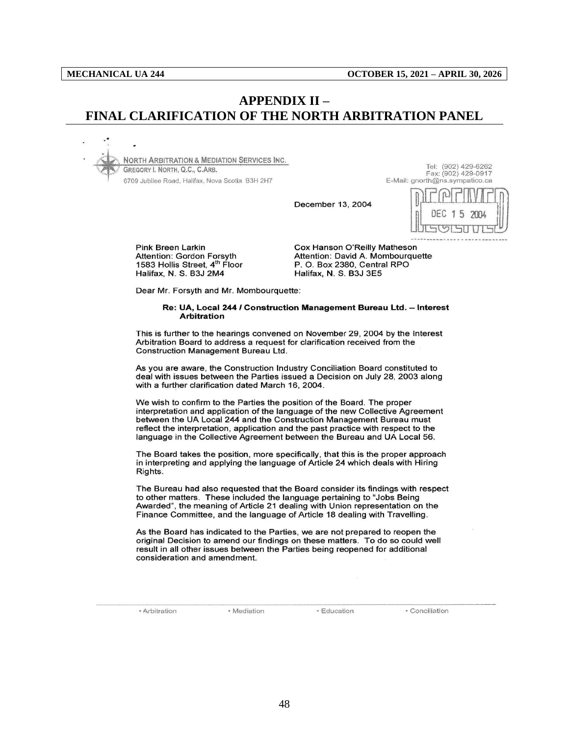## <span id="page-50-0"></span>**APPENDIX II – FINAL CLARIFICATION OF THE NORTH ARBITRATION PANEL**

**NORTH ARBITRATION & MEDIATION SERVICES INC.** GREGORY I. NORTH, Q.C., C.ARB. 6709 Jubilee Road, Halifax, Nova Scotia B3H 2H7

Tel: (902) 429-6262 Fax: (902) 429-0917 E-Mail: gnorth@ns.sympatico.ca

December 13, 2004



**Pink Breen Larkin Attention: Gordon Forsyth** 1583 Hollis Street, 4<sup>th</sup> Floor Halifax, N. S. B3J 2M4

Cox Hanson O'Reilly Matheson Attention: David A. Mombourquette P.O. Box 2380, Central RPO Halifax, N. S. B3J 3E5

Dear Mr. Forsyth and Mr. Mombourquette:

#### Re: UA, Local 244 / Construction Management Bureau Ltd. - Interest **Arbitration**

This is further to the hearings convened on November 29, 2004 by the Interest Arbitration Board to address a request for clarification received from the **Construction Management Bureau Ltd.** 

As you are aware, the Construction Industry Conciliation Board constituted to deal with issues between the Parties issued a Decision on July 28, 2003 along with a further clarification dated March 16, 2004.

We wish to confirm to the Parties the position of the Board. The proper interpretation and application of the language of the new Collective Agreement between the UA Local 244 and the Construction Management Bureau must reflect the interpretation, application and the past practice with respect to the language in the Collective Agreement between the Bureau and UA Local 56.

The Board takes the position, more specifically, that this is the proper approach in interpreting and applying the language of Article 24 which deals with Hiring Rights.

The Bureau had also requested that the Board consider its findings with respect to other matters. These included the language pertaining to "Jobs Being Awarded", the meaning of Article 21 dealing with Union representation on the Finance Committee, and the language of Article 18 dealing with Travelling.

As the Board has indicated to the Parties, we are not prepared to reopen the original Decision to amend our findings on these matters. To do so could well result in all other issues between the Parties being reopened for additional consideration and amendment.

· Arbitration

· Mediation

· Education

· Conciliation